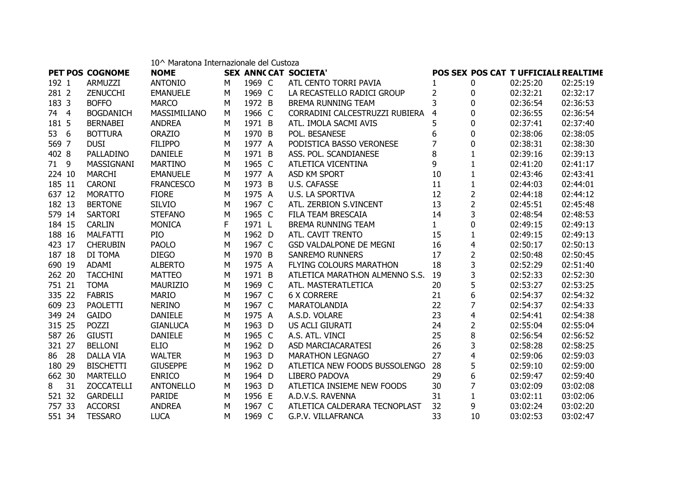|        |    |                   | 10^ Maratona Internazionale del Custoza |   |        |                                |                |                |                                      |          |
|--------|----|-------------------|-----------------------------------------|---|--------|--------------------------------|----------------|----------------|--------------------------------------|----------|
|        |    | PET POS COGNOME   | <b>NOME</b>                             |   |        | <b>SEX ANNCCAT SOCIETA'</b>    |                |                | POS SEX POS CAT T UFFICIALE REALTIME |          |
| 192 1  |    | ARMUZZI           | <b>ANTONIO</b>                          | м | 1969 C | ATL CENTO TORRI PAVIA          | $\mathbf{1}$   | 0              | 02:25:20                             | 02:25:19 |
| 281 2  |    | <b>ZENUCCHI</b>   | <b>EMANUELE</b>                         | M | 1969 C | LA RECASTELLO RADICI GROUP     | $\overline{2}$ | 0              | 02:32:21                             | 02:32:17 |
| 183 3  |    | <b>BOFFO</b>      | <b>MARCO</b>                            | M | 1972 B | <b>BREMA RUNNING TEAM</b>      | 3              | $\Omega$       | 02:36:54                             | 02:36:53 |
| 74 4   |    | <b>BOGDANICH</b>  | MASSIMILIANO                            | M | 1966 C | CORRADINI CALCESTRUZZI RUBIERA | 4              | $\mathbf{0}$   | 02:36:55                             | 02:36:54 |
| 181 5  |    | <b>BERNABEI</b>   | <b>ANDREA</b>                           | M | 1971 B | ATL. IMOLA SACMI AVIS          | 5              | $\mathbf{0}$   | 02:37:41                             | 02:37:40 |
| 53 6   |    | <b>BOTTURA</b>    | <b>ORAZIO</b>                           | M | 1970 B | POL. BESANESE                  | 6              | $\mathbf{0}$   | 02:38:06                             | 02:38:05 |
| 569 7  |    | <b>DUSI</b>       | <b>FILIPPO</b>                          | M | 1977 A | PODISTICA BASSO VERONESE       | 7              | $\Omega$       | 02:38:31                             | 02:38:30 |
| 402 8  |    | PALLADINO         | <b>DANIELE</b>                          | M | 1971 B | ASS. POL. SCANDIANESE          | 8              | $\mathbf{1}$   | 02:39:16                             | 02:39:13 |
| 71 9   |    | MASSIGNANI        | <b>MARTINO</b>                          | M | 1965 C | ATLETICA VICENTINA             | 9              | $\mathbf{1}$   | 02:41:20                             | 02:41:17 |
| 224 10 |    | <b>MARCHI</b>     | <b>EMANUELE</b>                         | M | 1977 A | ASD KM SPORT                   | 10             | $\mathbf{1}$   | 02:43:46                             | 02:43:41 |
| 185 11 |    | <b>CARONI</b>     | <b>FRANCESCO</b>                        | M | 1973 B | <b>U.S. CAFASSE</b>            | 11             | $\mathbf{1}$   | 02:44:03                             | 02:44:01 |
| 637 12 |    | <b>MORATTO</b>    | <b>FIORE</b>                            | M | 1975 A | <b>U.S. LA SPORTIVA</b>        | 12             | $\overline{2}$ | 02:44:18                             | 02:44:12 |
| 182 13 |    | <b>BERTONE</b>    | <b>SILVIO</b>                           | M | 1967 C | ATL. ZERBION S.VINCENT         | 13             | $\overline{2}$ | 02:45:51                             | 02:45:48 |
| 579 14 |    | SARTORI           | <b>STEFANO</b>                          | M | 1965 C | FILA TEAM BRESCAIA             | 14             | $\overline{3}$ | 02:48:54                             | 02:48:53 |
| 184 15 |    | <b>CARLIN</b>     | <b>MONICA</b>                           | F | 1971 L | <b>BREMA RUNNING TEAM</b>      | $\mathbf{1}$   | $\overline{0}$ | 02:49:15                             | 02:49:13 |
| 188 16 |    | <b>MALFATTI</b>   | PIO                                     | M | 1962 D | ATL. CAVIT TRENTO              | 15             | $\mathbf{1}$   | 02:49:15                             | 02:49:13 |
| 423 17 |    | <b>CHERUBIN</b>   | <b>PAOLO</b>                            | M | 1967 C | <b>GSD VALDALPONE DE MEGNI</b> | 16             | 4              | 02:50:17                             | 02:50:13 |
| 187 18 |    | DI TOMA           | <b>DIEGO</b>                            | M | 1970 B | <b>SANREMO RUNNERS</b>         | 17             | $\overline{2}$ | 02:50:48                             | 02:50:45 |
| 690 19 |    | <b>ADAMI</b>      | <b>ALBERTO</b>                          | M | 1975 A | <b>FLYING COLOURS MARATHON</b> | 18             | 3              | 02:52:29                             | 02:51:40 |
| 262 20 |    | <b>TACCHINI</b>   | <b>MATTEO</b>                           | M | 1971 B | ATLETICA MARATHON ALMENNO S.S. | 19             | 3              | 02:52:33                             | 02:52:30 |
| 751 21 |    | <b>TOMA</b>       | <b>MAURIZIO</b>                         | M | 1969 C | ATL. MASTERATLETICA            | 20             | 5              | 02:53:27                             | 02:53:25 |
| 335 22 |    | <b>FABRIS</b>     | <b>MARIO</b>                            | M | 1967 C | <b>6 X CORRERE</b>             | 21             | 6              | 02:54:37                             | 02:54:32 |
| 609 23 |    | PAOLETTI          | <b>NERINO</b>                           | M | 1967 C | MARATOLANDIA                   | 22             | 7              | 02:54:37                             | 02:54:33 |
| 349 24 |    | GAIDO             | <b>DANIELE</b>                          | M | 1975 A | A.S.D. VOLARE                  | 23             | $\overline{4}$ | 02:54:41                             | 02:54:38 |
| 315 25 |    | POZZI             | <b>GIANLUCA</b>                         | M | 1963 D | US ACLI GIURATI                | 24             | $\overline{2}$ | 02:55:04                             | 02:55:04 |
| 587 26 |    | <b>GIUSTI</b>     | <b>DANIELE</b>                          | M | 1965 C | A.S. ATL. VINCI                | 25             | 8              | 02:56:54                             | 02:56:52 |
| 321 27 |    | <b>BELLONI</b>    | <b>ELIO</b>                             | M | 1962 D | ASD MARCIACARATESI             | 26             | $\overline{3}$ | 02:58:28                             | 02:58:25 |
| 86 28  |    | <b>DALLA VIA</b>  | <b>WALTER</b>                           | M | 1963 D | <b>MARATHON LEGNAGO</b>        | 27             | 4              | 02:59:06                             | 02:59:03 |
| 180 29 |    | <b>BISCHETTI</b>  | <b>GIUSEPPE</b>                         | M | 1962 D | ATLETICA NEW FOODS BUSSOLENGO  | 28             | 5              | 02:59:10                             | 02:59:00 |
| 662 30 |    | <b>MARTELLO</b>   | <b>ENRICO</b>                           | M | 1964 D | LIBERO PADOVA                  | 29             | 6              | 02:59:47                             | 02:59:40 |
| 8      | 31 | <b>ZOCCATELLI</b> | <b>ANTONELLO</b>                        | M | 1963 D | ATLETICA INSIEME NEW FOODS     | 30             | 7              | 03:02:09                             | 03:02:08 |
| 521 32 |    | <b>GARDELLI</b>   | <b>PARIDE</b>                           | M | 1956 E | A.D.V.S. RAVENNA               | 31             | 1              | 03:02:11                             | 03:02:06 |
| 757 33 |    | <b>ACCORSI</b>    | <b>ANDREA</b>                           | M | 1967 C | ATLETICA CALDERARA TECNOPLAST  | 32             | 9              | 03:02:24                             | 03:02:20 |
| 551 34 |    | <b>TESSARO</b>    | <b>LUCA</b>                             | M | 1969 C | <b>G.P.V. VILLAFRANCA</b>      | 33             | 10             | 03:02:53                             | 03:02:47 |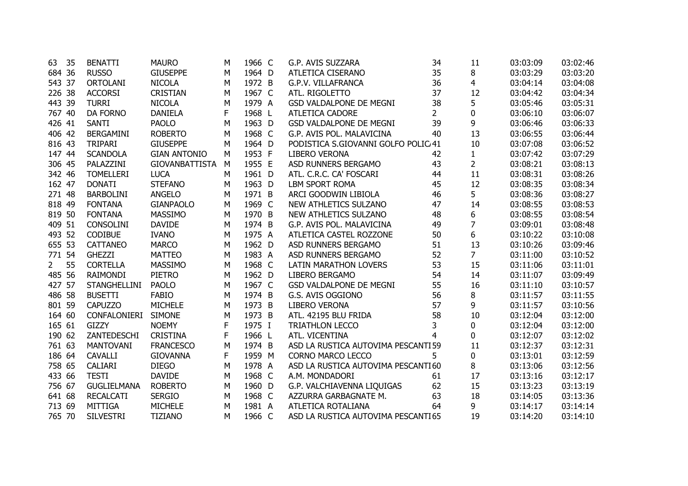| 63          | 35 | <b>BENATTI</b>      | <b>MAURO</b>          | м | 1966 C | G.P. AVIS SUZZARA                   | 34             | 11             | 03:03:09 | 03:02:46 |
|-------------|----|---------------------|-----------------------|---|--------|-------------------------------------|----------------|----------------|----------|----------|
| 684 36      |    | <b>RUSSO</b>        | <b>GIUSEPPE</b>       | М | 1964 D | ATLETICA CISERANO                   | 35             | 8              | 03:03:29 | 03:03:20 |
| 543 37      |    | <b>ORTOLANI</b>     | <b>NICOLA</b>         | М | 1972 B | G.P.V. VILLAFRANCA                  | 36             | 4              | 03:04:14 | 03:04:08 |
| 226 38      |    | <b>ACCORSI</b>      | <b>CRISTIAN</b>       | M | 1967 C | ATL. RIGOLETTO                      | 37             | 12             | 03:04:42 | 03:04:34 |
| 443 39      |    | <b>TURRI</b>        | <b>NICOLA</b>         | M | 1979 A | GSD VALDALPONE DE MEGNI             | 38             | 5              | 03:05:46 | 03:05:31 |
| 767 40      |    | DA FORNO            | <b>DANIELA</b>        | F | 1968 L | <b>ATLETICA CADORE</b>              | $\overline{2}$ | 0              | 03:06:10 | 03:06:07 |
| 426 41      |    | <b>SANTI</b>        | <b>PAOLO</b>          | М | 1963 D | <b>GSD VALDALPONE DE MEGNI</b>      | 39             | 9              | 03:06:46 | 03:06:33 |
| 406 42      |    | <b>BERGAMINI</b>    | <b>ROBERTO</b>        | M | 1968 C | G.P. AVIS POL. MALAVICINA           | 40             | 13             | 03:06:55 | 03:06:44 |
| 816 43      |    | <b>TRIPARI</b>      | <b>GIUSEPPE</b>       | M | 1964 D | PODISTICA S.GIOVANNI GOLFO POLIC 41 |                | 10             | 03:07:08 | 03:06:52 |
| 147 44      |    | <b>SCANDOLA</b>     | <b>GIAN ANTONIO</b>   | M | 1953 F | LIBERO VERONA                       | 42             | $\mathbf{1}$   | 03:07:42 | 03:07:29 |
| 306 45      |    | PALAZZINI           | <b>GIOVANBATTISTA</b> | M | 1955 E | ASD RUNNERS BERGAMO                 | 43             | $\overline{2}$ | 03:08:21 | 03:08:13 |
| 342 46      |    | <b>TOMELLERI</b>    | <b>LUCA</b>           | M | 1961 D | ATL. C.R.C. CA' FOSCARI             | 44             | 11             | 03:08:31 | 03:08:26 |
| 162 47      |    | <b>DONATI</b>       | <b>STEFANO</b>        | M | 1963 D | <b>LBM SPORT ROMA</b>               | 45             | 12             | 03:08:35 | 03:08:34 |
| 271 48      |    | <b>BARBOLINI</b>    | <b>ANGELO</b>         | M | 1971 B | ARCI GOODWIN LIBIOLA                | 46             | 5              | 03:08:36 | 03:08:27 |
| 818 49      |    | <b>FONTANA</b>      | <b>GIANPAOLO</b>      | M | 1969 C | NEW ATHLETICS SULZANO               | 47             | 14             | 03:08:55 | 03:08:53 |
| 819 50      |    | <b>FONTANA</b>      | <b>MASSIMO</b>        | M | 1970 B | NEW ATHLETICS SULZANO               | 48             | 6              | 03:08:55 | 03:08:54 |
| 409 51      |    | <b>CONSOLINI</b>    | <b>DAVIDE</b>         | M | 1974 B | G.P. AVIS POL. MALAVICINA           | 49             | 7              | 03:09:01 | 03:08:48 |
| 493 52      |    | <b>CODIBUE</b>      | <b>IVANO</b>          | M | 1975 A | ATLETICA CASTEL ROZZONE             | 50             | 6              | 03:10:22 | 03:10:08 |
| 655 53      |    | <b>CATTANEO</b>     | <b>MARCO</b>          | M | 1962 D | ASD RUNNERS BERGAMO                 | 51             | 13             | 03:10:26 | 03:09:46 |
| 771 54      |    | <b>GHEZZI</b>       | <b>MATTEO</b>         | М | 1983 A | ASD RUNNERS BERGAMO                 | 52             | $\overline{7}$ | 03:11:00 | 03:10:52 |
| $2^{\circ}$ | 55 | <b>CORTELLA</b>     | <b>MASSIMO</b>        | M | 1968 C | LATIN MARATHON LOVERS               | 53             | 15             | 03:11:06 | 03:11:01 |
| 485 56      |    | <b>RAIMONDI</b>     | <b>PIETRO</b>         | M | 1962 D | <b>LIBERO BERGAMO</b>               | 54             | 14             | 03:11:07 | 03:09:49 |
| 427 57      |    | <b>STANGHELLINI</b> | <b>PAOLO</b>          | M | 1967 C | <b>GSD VALDALPONE DE MEGNI</b>      | 55             | 16             | 03:11:10 | 03:10:57 |
| 486 58      |    | <b>BUSETTI</b>      | <b>FABIO</b>          | M | 1974 B | G.S. AVIS OGGIONO                   | 56             | 8              | 03:11:57 | 03:11:55 |
| 801 59      |    | <b>CAPUZZO</b>      | <b>MICHELE</b>        | M | 1973 B | <b>LIBERO VERONA</b>                | 57             | 9              | 03:11:57 | 03:10:56 |
| 164 60      |    | CONFALONIERI        | <b>SIMONE</b>         | M | 1973 B | ATL. 42195 BLU FRIDA                | 58             | 10             | 03:12:04 | 03:12:00 |
| 165 61      |    | <b>GIZZY</b>        | <b>NOEMY</b>          | F | 1975 I | <b>TRIATHLON LECCO</b>              | 3              | $\mathbf{0}$   | 03:12:04 | 03:12:00 |
| 190 62      |    | ZANTEDESCHI         | <b>CRISTINA</b>       | F | 1966 L | ATL. VICENTINA                      | 4              | 0              | 03:12:07 | 03:12:02 |
| 761 63      |    | <b>MANTOVANI</b>    | <b>FRANCESCO</b>      | M | 1974 B | ASD LA RUSTICA AUTOVIMA PESCANTI 59 |                | 11             | 03:12:37 | 03:12:31 |
| 186 64      |    | <b>CAVALLI</b>      | <b>GIOVANNA</b>       | F | 1959 M | <b>CORNO MARCO LECCO</b>            | 5              | 0              | 03:13:01 | 03:12:59 |
| 758 65      |    | CALIARI             | <b>DIEGO</b>          | М | 1978 A | ASD LA RUSTICA AUTOVIMA PESCANTI60  |                | 8              | 03:13:06 | 03:12:56 |
| 433 66      |    | <b>TESTI</b>        | <b>DAVIDE</b>         | М | 1968 C | A.M. MONDADORI                      | 61             | 17             | 03:13:16 | 03:12:17 |
| 756 67      |    | GUGLIELMANA         | <b>ROBERTO</b>        | M | 1960 D | G.P. VALCHIAVENNA LIQUIGAS          | 62             | 15             | 03:13:23 | 03:13:19 |
| 641 68      |    | <b>RECALCATI</b>    | <b>SERGIO</b>         | M | 1968 C | AZZURRA GARBAGNATE M.               | 63             | 18             | 03:14:05 | 03:13:36 |
| 713 69      |    | <b>MITTIGA</b>      | <b>MICHELE</b>        | M | 1981 A | ATLETICA ROTALIANA                  | 64             | 9              | 03:14:17 | 03:14:14 |
| 765 70      |    | <b>SILVESTRI</b>    | <b>TIZIANO</b>        | М | 1966 C | ASD LA RUSTICA AUTOVIMA PESCANTI 65 |                | 19             | 03:14:20 | 03:14:10 |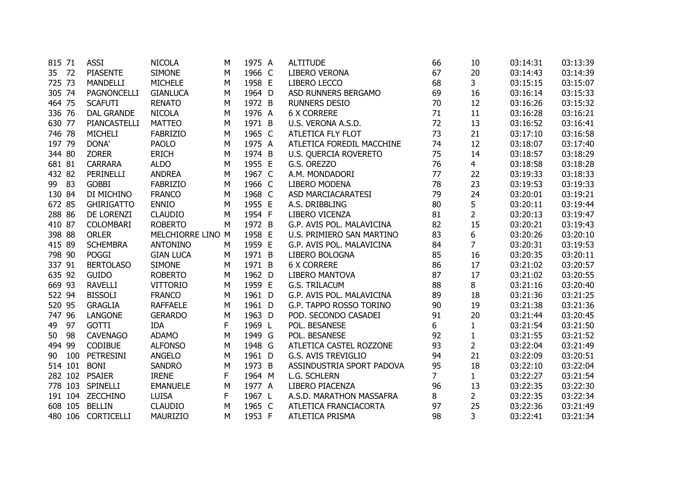| 815 71 |         | <b>ASSI</b>        | <b>NICOLA</b>     | M | 1975 A | <b>ALTITUDE</b>              | 66             | 10             | 03:14:31 | 03:13:39 |
|--------|---------|--------------------|-------------------|---|--------|------------------------------|----------------|----------------|----------|----------|
| 35 72  |         | <b>PIASENTE</b>    | <b>SIMONE</b>     | M | 1966 C | LIBERO VERONA                | 67             | 20             | 03:14:43 | 03:14:39 |
| 725 73 |         | <b>MANDELLI</b>    | <b>MICHELE</b>    | M | 1958 E | LIBERO LECCO                 | 68             | 3              | 03:15:15 | 03:15:07 |
| 305 74 |         | PAGNONCELLI        | <b>GIANLUCA</b>   | M | 1964 D | ASD RUNNERS BERGAMO          | 69             | 16             | 03:16:14 | 03:15:33 |
| 464 75 |         | <b>SCAFUTI</b>     | <b>RENATO</b>     | M | 1972 B | <b>RUNNERS DESIO</b>         | 70             | 12             | 03:16:26 | 03:15:32 |
| 336 76 |         | <b>DAL GRANDE</b>  | <b>NICOLA</b>     | M | 1976 A | <b>6 X CORRERE</b>           | 71             | 11             | 03:16:28 | 03:16:21 |
| 630 77 |         | PIANCASTELLI       | <b>MATTEO</b>     | M | 1971 B | U.S. VERONA A.S.D.           | 72             | 13             | 03:16:52 | 03:16:41 |
| 746 78 |         | <b>MICHELI</b>     | <b>FABRIZIO</b>   | M | 1965 C | ATLETICA FLY FLOT            | 73             | 21             | 03:17:10 | 03:16:58 |
| 197 79 |         | DONA'              | <b>PAOLO</b>      | M | 1975 A | ATLETICA FOREDIL MACCHINE    | 74             | 12             | 03:18:07 | 03:17:40 |
| 344 80 |         | <b>ZORER</b>       | <b>ERICH</b>      | M | 1974 B | <b>U.S. QUERCIA ROVERETO</b> | 75             | 14             | 03:18:57 | 03:18:29 |
| 681 81 |         | <b>CARRARA</b>     | <b>ALDO</b>       | M | 1955 E | G.S. OREZZO                  | 76             | $\overline{4}$ | 03:18:58 | 03:18:28 |
| 432 82 |         | PERINELLI          | <b>ANDREA</b>     | M | 1967 C | A.M. MONDADORI               | 77             | 22             | 03:19:33 | 03:18:33 |
| 99 83  |         | <b>GOBBI</b>       | <b>FABRIZIO</b>   | M | 1966 C | <b>LIBERO MODENA</b>         | 78             | 23             | 03:19:53 | 03:19:33 |
| 130 84 |         | DI MICHINO         | <b>FRANCO</b>     | M | 1968 C | ASD MARCIACARATESI           | 79             | 24             | 03:20:01 | 03:19:21 |
| 672 85 |         | <b>GHIRIGATTO</b>  | <b>ENNIO</b>      | M | 1955 E | A.S. DRIBBLING               | 80             | 5              | 03:20:11 | 03:19:44 |
| 288 86 |         | DE LORENZI         | <b>CLAUDIO</b>    | M | 1954 F | LIBERO VICENZA               | 81             | $\overline{2}$ | 03:20:13 | 03:19:47 |
| 410 87 |         | COLOMBARI          | <b>ROBERTO</b>    | M | 1972 B | G.P. AVIS POL. MALAVICINA    | 82             | 15             | 03:20:21 | 03:19:43 |
| 398 88 |         | <b>ORLER</b>       | MELCHIORRE LINO M |   | 1958 E | U.S. PRIMIERO SAN MARTINO    | 83             | 6              | 03:20:26 | 03:20:10 |
| 415 89 |         | <b>SCHEMBRA</b>    | <b>ANTONINO</b>   | M | 1959 E | G.P. AVIS POL. MALAVICINA    | 84             | $\overline{7}$ | 03:20:31 | 03:19:53 |
| 798 90 |         | <b>POGGI</b>       | <b>GIAN LUCA</b>  | M | 1971 B | LIBERO BOLOGNA               | 85             | 16             | 03:20:35 | 03:20:11 |
| 337 91 |         | <b>BERTOLASO</b>   | <b>SIMONE</b>     | M | 1971 B | <b>6 X CORRERE</b>           | 86             | 17             | 03:21:02 | 03:20:57 |
| 635 92 |         | <b>GUIDO</b>       | <b>ROBERTO</b>    | M | 1962 D | LIBERO MANTOVA               | 87             | 17             | 03:21:02 | 03:20:55 |
| 669 93 |         | <b>RAVELLI</b>     | <b>VITTORIO</b>   | M | 1959 E | G.S. TRILACUM                | 88             | 8              | 03:21:16 | 03:20:40 |
| 522 94 |         | <b>BISSOLI</b>     | <b>FRANCO</b>     | M | 1961 D | G.P. AVIS POL. MALAVICINA    | 89             | 18             | 03:21:36 | 03:21:25 |
| 520 95 |         | <b>GRAGLIA</b>     | <b>RAFFAELE</b>   | M | 1961 D | G.P. TAPPO ROSSO TORINO      | 90             | 19             | 03:21:38 | 03:21:36 |
| 747 96 |         | <b>LANGONE</b>     | <b>GERARDO</b>    | M | 1963 D | POD. SECONDO CASADEI         | 91             | 20             | 03:21:44 | 03:20:45 |
| 49     | 97      | <b>GOTTI</b>       | <b>IDA</b>        | F | 1969 L | POL. BESANESE                | 6              | $\mathbf{1}$   | 03:21:54 | 03:21:50 |
| 50     | 98      | <b>CAVENAGO</b>    | <b>ADAMO</b>      | M | 1949 G | POL. BESANESE                | 92             | $\mathbf{1}$   | 03:21:55 | 03:21:52 |
| 494 99 |         | <b>CODIBUE</b>     | <b>ALFONSO</b>    | M | 1948 G | ATLETICA CASTEL ROZZONE      | 93             | $\overline{2}$ | 03:22:04 | 03:21:49 |
| 90     | 100     | <b>PETRESINI</b>   | <b>ANGELO</b>     | M | 1961 D | <b>G.S. AVIS TREVIGLIO</b>   | 94             | 21             | 03:22:09 | 03:20:51 |
|        | 514 101 | <b>BONI</b>        | <b>SANDRO</b>     | M | 1973 B | ASSINDUSTRIA SPORT PADOVA    | 95             | 18             | 03:22:10 | 03:22:04 |
|        | 282 102 | <b>PSAIER</b>      | <b>IRENE</b>      | F | 1964 M | L.G. SCHLERN                 | $\overline{7}$ | $\mathbf{1}$   | 03:22:27 | 03:21:54 |
|        | 778 103 | <b>SPINELLI</b>    | <b>EMANUELE</b>   | М | 1977 A | LIBERO PIACENZA              | 96             | 13             | 03:22:35 | 03:22:30 |
|        |         | 191 104 ZECCHINO   | <b>LUISA</b>      | F | 1967 L | A.S.D. MARATHON MASSAFRA     | 8              | $2^{\circ}$    | 03:22:35 | 03:22:34 |
|        | 608 105 | <b>BELLIN</b>      | <b>CLAUDIO</b>    | M | 1965 C | ATLETICA FRANCIACORTA        | 97             | 25             | 03:22:36 | 03:21:49 |
|        |         | 480 106 CORTICELLI | MAURIZIO          | M | 1953 F | ATLETICA PRISMA              | 98             | 3              | 03:22:41 | 03:21:34 |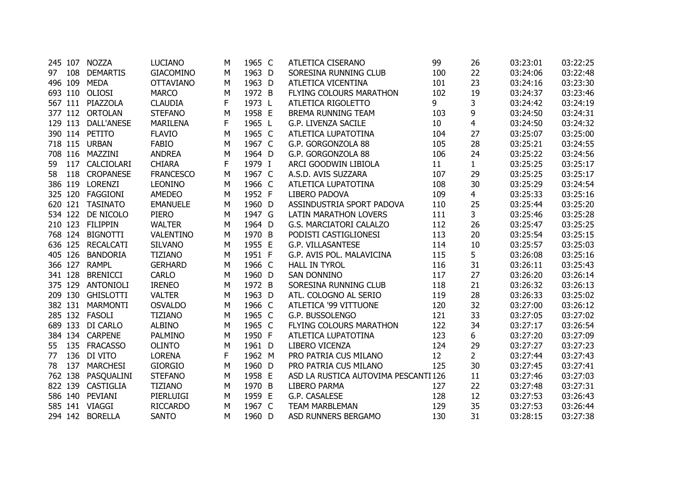|         |         | 245 107 NOZZA     | <b>LUCIANO</b>   | м | 1965 C | ATLETICA CISERANO                    | 99  | 26             | 03:23:01 | 03:22:25 |
|---------|---------|-------------------|------------------|---|--------|--------------------------------------|-----|----------------|----------|----------|
| 97 108  |         | <b>DEMARTIS</b>   | <b>GIACOMINO</b> | М | 1963 D | SORESINA RUNNING CLUB                | 100 | 22             | 03:24:06 | 03:22:48 |
| 496 109 |         | <b>MEDA</b>       | <b>OTTAVIANO</b> | М | 1963 D | ATLETICA VICENTINA                   | 101 | 23             | 03:24:16 | 03:23:30 |
|         |         | 693 110 OLIOSI    | <b>MARCO</b>     | M | 1972 B | FLYING COLOURS MARATHON              | 102 | 19             | 03:24:37 | 03:23:46 |
|         |         | 567 111 PIAZZOLA  | <b>CLAUDIA</b>   | F | 1973 L | ATLETICA RIGOLETTO                   | 9   | 3              | 03:24:42 | 03:24:19 |
|         | 377 112 | <b>ORTOLAN</b>    | <b>STEFANO</b>   | М | 1958 E | BREMA RUNNING TEAM                   | 103 | 9              | 03:24:50 | 03:24:31 |
|         | 129 113 | DALL'ANESE        | <b>MARILENA</b>  | F | 1965 L | G.P. LIVENZA SACILE                  | 10  | $\overline{4}$ | 03:24:50 | 03:24:32 |
|         |         | 390 114 PETITO    | <b>FLAVIO</b>    | М | 1965 C | ATLETICA LUPATOTINA                  | 104 | 27             | 03:25:07 | 03:25:00 |
|         |         | 718 115 URBAN     | <b>FABIO</b>     | M | 1967 C | G.P. GORGONZOLA 88                   | 105 | 28             | 03:25:21 | 03:24:55 |
|         |         | 708 116 MAZZINI   | <b>ANDREA</b>    | М | 1964 D | G.P. GORGONZOLA 88                   | 106 | 24             | 03:25:22 | 03:24:56 |
| 59      |         | 117 CALCIOLARI    | <b>CHIARA</b>    | F | 1979 I | ARCI GOODWIN LIBIOLA                 | 11  | $\mathbf{1}$   | 03:25:25 | 03:25:17 |
| 58      |         | 118 CROPANESE     | <b>FRANCESCO</b> | М | 1967 C | A.S.D. AVIS SUZZARA                  | 107 | 29             | 03:25:25 | 03:25:17 |
|         |         | 386 119 LORENZI   | <b>LEONINO</b>   | M | 1966 C | ATLETICA LUPATOTINA                  | 108 | 30             | 03:25:29 | 03:24:54 |
|         |         | 325 120 FAGGIONI  | <b>AMEDEO</b>    | M | 1952 F | LIBERO PADOVA                        | 109 | $\overline{4}$ | 03:25:33 | 03:25:16 |
|         |         | 620 121 TASINATO  | <b>EMANUELE</b>  | M | 1960 D | ASSINDUSTRIA SPORT PADOVA            | 110 | 25             | 03:25:44 | 03:25:20 |
|         | 534 122 | DE NICOLO         | <b>PIERO</b>     | М | 1947 G | <b>LATIN MARATHON LOVERS</b>         | 111 | 3              | 03:25:46 | 03:25:28 |
|         | 210 123 | <b>FILIPPIN</b>   | <b>WALTER</b>    | M | 1964 D | G.S. MARCIATORI CALALZO              | 112 | 26             | 03:25:47 | 03:25:25 |
|         | 768 124 | <b>BIGNOTTI</b>   | VALENTINO        | M | 1970 B | PODISTI CASTIGLIONESI                | 113 | 20             | 03:25:54 | 03:25:15 |
|         | 636 125 | <b>RECALCATI</b>  | <b>SILVANO</b>   | M | 1955 E | G.P. VILLASANTESE                    | 114 | 10             | 03:25:57 | 03:25:03 |
|         | 405 126 | <b>BANDORIA</b>   | <b>TIZIANO</b>   | M | 1951 F | G.P. AVIS POL. MALAVICINA            | 115 | 5              | 03:26:08 | 03:25:16 |
|         | 366 127 | <b>RAMPL</b>      | <b>GERHARD</b>   | M | 1966 C | <b>HALL IN TYROL</b>                 | 116 | 31             | 03:26:11 | 03:25:43 |
| 341 128 |         | <b>BRENICCI</b>   | <b>CARLO</b>     | М | 1960 D | SAN DONNINO                          | 117 | 27             | 03:26:20 | 03:26:14 |
|         | 375 129 | <b>ANTONIOLI</b>  | <b>IRENEO</b>    | M | 1972 B | SORESINA RUNNING CLUB                | 118 | 21             | 03:26:32 | 03:26:13 |
|         |         | 209 130 GHISLOTTI | <b>VALTER</b>    | M | 1963 D | ATL. COLOGNO AL SERIO                | 119 | 28             | 03:26:33 | 03:25:02 |
|         |         | 382 131 MARMONTI  | <b>OSVALDO</b>   | M | 1966 C | ATLETICA '99 VITTUONE                | 120 | 32             | 03:27:00 | 03:26:12 |
|         |         | 285 132 FASOLI    | <b>TIZIANO</b>   | M | 1965 C | G.P. BUSSOLENGO                      | 121 | 33             | 03:27:05 | 03:27:02 |
|         |         | 689 133 DI CARLO  | <b>ALBINO</b>    | M | 1965 C | FLYING COLOURS MARATHON              | 122 | 34             | 03:27:17 | 03:26:54 |
|         |         | 384 134 CARPENE   | PALMINO          | M | 1950 F | ATLETICA LUPATOTINA                  | 123 | 6              | 03:27:20 | 03:27:09 |
| 55      |         | 135 FRACASSO      | <b>OLINTO</b>    | M | 1961 D | LIBERO VICENZA                       | 124 | 29             | 03:27:27 | 03:27:23 |
| 77      |         | 136 DI VITO       | <b>LORENA</b>    | F | 1962 M | PRO PATRIA CUS MILANO                | 12  | $\overline{2}$ | 03:27:44 | 03:27:43 |
| 78      | 137     | <b>MARCHESI</b>   | <b>GIORGIO</b>   | M | 1960 D | PRO PATRIA CUS MILANO                | 125 | 30             | 03:27:45 | 03:27:41 |
|         | 762 138 | PASQUALINI        | <b>STEFANO</b>   | М | 1958 E | ASD LA RUSTICA AUTOVIMA PESCANTI 126 |     | 11             | 03:27:46 | 03:27:03 |
|         |         | 822 139 CASTIGLIA | <b>TIZIANO</b>   | M | 1970 B | LIBERO PARMA                         | 127 | 22             | 03:27:48 | 03:27:31 |
|         |         | 586 140 PEVIANI   | PIERLUIGI        | M | 1959 E | G.P. CASALESE                        | 128 | 12             | 03:27:53 | 03:26:43 |
|         |         | 585 141 VIAGGI    | <b>RICCARDO</b>  | М | 1967 C | <b>TEAM MARBLEMAN</b>                | 129 | 35             | 03:27:53 | 03:26:44 |
|         |         | 294 142 BORELLA   | <b>SANTO</b>     | м | 1960 D | ASD RUNNERS BERGAMO                  | 130 | 31             | 03:28:15 | 03:27:38 |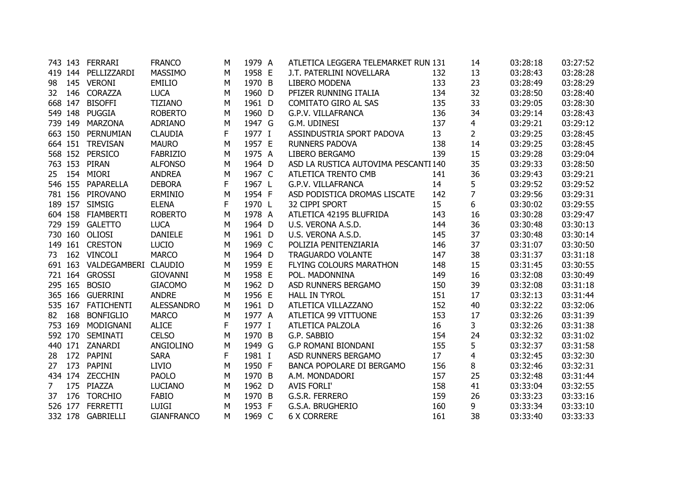|                |         | 743 143 FERRARI              | <b>FRANCO</b>     | M | 1979 A | ATLETICA LEGGERA TELEMARKET RUN 131  |     | 14             | 03:28:18 | 03:27:52 |
|----------------|---------|------------------------------|-------------------|---|--------|--------------------------------------|-----|----------------|----------|----------|
|                |         | 419 144 PELLIZZARDI          | <b>MASSIMO</b>    | M | 1958 E | J.T. PATERLINI NOVELLARA             | 132 | 13             | 03:28:43 | 03:28:28 |
| 98             |         | 145 VERONI                   | <b>EMILIO</b>     | M | 1970 B | <b>LIBERO MODENA</b>                 | 133 | 23             | 03:28:49 | 03:28:29 |
| 32             | 146     | CORAZZA                      | <b>LUCA</b>       | M | 1960 D | PFIZER RUNNING ITALIA                | 134 | 32             | 03:28:50 | 03:28:40 |
|                | 668 147 | <b>BISOFFI</b>               | <b>TIZIANO</b>    | M | 1961 D | <b>COMITATO GIRO AL SAS</b>          | 135 | 33             | 03:29:05 | 03:28:30 |
|                | 549 148 | <b>PUGGIA</b>                | <b>ROBERTO</b>    | M | 1960 D | G.P.V. VILLAFRANCA                   | 136 | 34             | 03:29:14 | 03:28:43 |
|                | 739 149 | <b>MARZONA</b>               | <b>ADRIANO</b>    | M | 1947 G | G.M. UDINESI                         | 137 | 4              | 03:29:21 | 03:29:12 |
|                | 663 150 | PERNUMIAN                    | <b>CLAUDIA</b>    | F | 1977 I | ASSINDUSTRIA SPORT PADOVA            | 13  | $\overline{2}$ | 03:29:25 | 03:28:45 |
|                | 664 151 | <b>TREVISAN</b>              | <b>MAURO</b>      | M | 1957 E | <b>RUNNERS PADOVA</b>                | 138 | 14             | 03:29:25 | 03:28:45 |
|                | 568 152 | <b>PERSICO</b>               | <b>FABRIZIO</b>   | M | 1975 A | LIBERO BERGAMO                       | 139 | 15             | 03:29:28 | 03:29:04 |
|                | 763 153 | <b>PIRAN</b>                 | <b>ALFONSO</b>    | M | 1964 D | ASD LA RUSTICA AUTOVIMA PESCANTI 140 |     | 35             | 03:29:33 | 03:28:50 |
|                | 25 154  | MIORI                        | <b>ANDREA</b>     | M | 1967 C | ATLETICA TRENTO CMB                  | 141 | 36             | 03:29:43 | 03:29:21 |
|                | 546 155 | PAPARELLA                    | <b>DEBORA</b>     | F | 1967 L | G.P.V. VILLAFRANCA                   | 14  | 5              | 03:29:52 | 03:29:52 |
|                |         | 781 156 PIROVANO             | <b>ERMINIO</b>    | M | 1954 F | ASD PODISTICA DROMAS LISCATE         | 142 | 7              | 03:29:56 | 03:29:31 |
|                | 189 157 | <b>SIMSIG</b>                | <b>ELENA</b>      | F | 1970 L | 32 CIPPI SPORT                       | 15  | 6              | 03:30:02 | 03:29:55 |
|                |         | 604 158 FIAMBERTI            | <b>ROBERTO</b>    | M | 1978 A | ATLETICA 42195 BLUFRIDA              | 143 | 16             | 03:30:28 | 03:29:47 |
|                | 729 159 | <b>GALETTO</b>               | <b>LUCA</b>       | M | 1964 D | U.S. VERONA A.S.D.                   | 144 | 36             | 03:30:48 | 03:30:13 |
|                | 730 160 | OLIOSI                       | <b>DANIELE</b>    | M | 1961 D | U.S. VERONA A.S.D.                   | 145 | 37             | 03:30:48 | 03:30:14 |
|                |         | 149 161 CRESTON              | <b>LUCIO</b>      | M | 1969 C | POLIZIA PENITENZIARIA                | 146 | 37             | 03:31:07 | 03:30:50 |
| 73             |         | 162 VINCOLI                  | <b>MARCO</b>      | M | 1964 D | <b>TRAGUARDO VOLANTE</b>             | 147 | 38             | 03:31:37 | 03:31:18 |
|                |         | 691 163 VALDEGAMBERI CLAUDIO |                   | M | 1959 E | FLYING COLOURS MARATHON              | 148 | 15             | 03:31:45 | 03:30:55 |
|                |         | 721 164 GROSSI               | <b>GIOVANNI</b>   | M | 1958 E | POL. MADONNINA                       | 149 | 16             | 03:32:08 | 03:30:49 |
|                | 295 165 | <b>BOSIO</b>                 | <b>GIACOMO</b>    | M | 1962 D | ASD RUNNERS BERGAMO                  | 150 | 39             | 03:32:08 | 03:31:18 |
|                |         | 365 166 GUERRINI             | <b>ANDRE</b>      | M | 1956 E | <b>HALL IN TYROL</b>                 | 151 | 17             | 03:32:13 | 03:31:44 |
|                | 535 167 | <b>FATICHENTI</b>            | <b>ALESSANDRO</b> | M | 1961 D | ATLETICA VILLAZZANO                  | 152 | 40             | 03:32:22 | 03:32:06 |
| 82             | 168     | <b>BONFIGLIO</b>             | <b>MARCO</b>      | M | 1977 A | <b>ATLETICA 99 VITTUONE</b>          | 153 | 17             | 03:32:26 | 03:31:39 |
|                | 753 169 | MODIGNANI                    | <b>ALICE</b>      | F | 1977 I | ATLETICA PALZOLA                     | 16  | 3              | 03:32:26 | 03:31:38 |
|                | 592 170 | <b>SEMINATI</b>              | <b>CELSO</b>      | M | 1970 B | G.P. SABBIO                          | 154 | 24             | 03:32:32 | 03:31:02 |
|                |         | 440 171 ZANARDI              | ANGIOLINO         | M | 1949 G | <b>G.P ROMANI BIONDANI</b>           | 155 | 5              | 03:32:37 | 03:31:58 |
| 28             |         | 172 PAPINI                   | <b>SARA</b>       | F | 1981 I | ASD RUNNERS BERGAMO                  | 17  | 4              | 03:32:45 | 03:32:30 |
| 27             | 173     | PAPINI                       | <b>LIVIO</b>      | M | 1950 F | <b>BANCA POPOLARE DI BERGAMO</b>     | 156 | 8              | 03:32:46 | 03:32:31 |
|                |         | 434 174 ZECCHIN              | <b>PAOLO</b>      | M | 1970 B | A.M. MONDADORI                       | 157 | 25             | 03:32:48 | 03:31:44 |
| $\overline{7}$ |         | 175 PIAZZA                   | <b>LUCIANO</b>    | M | 1962 D | <b>AVIS FORLI'</b>                   | 158 | 41             | 03:33:04 | 03:32:55 |
| 37             | 176     | <b>TORCHIO</b>               | <b>FABIO</b>      | M | 1970 B | G.S.R. FERRERO                       | 159 | 26             | 03:33:23 | 03:33:16 |
|                | 526 177 | <b>FERRETTI</b>              | <b>LUIGI</b>      | M | 1953 F | G.S.A. BRUGHERIO                     | 160 | 9              | 03:33:34 | 03:33:10 |
|                | 332 178 | GABRIELLI                    | <b>GIANFRANCO</b> | М | 1969 C | <b>6 X CORRERE</b>                   | 161 | 38             | 03:33:40 | 03:33:33 |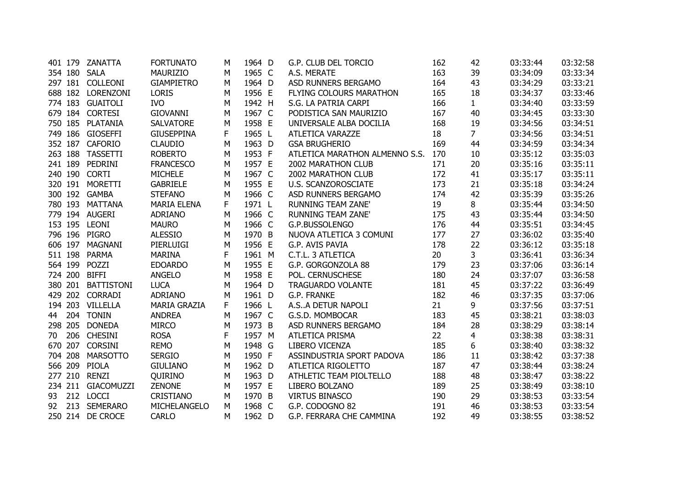|    |         | 401 179 ZANATTA    | <b>FORTUNATO</b>    | М | 1964 D | G.P. CLUB DEL TORCIO           | 162 | 42             | 03:33:44 | 03:32:58 |
|----|---------|--------------------|---------------------|---|--------|--------------------------------|-----|----------------|----------|----------|
|    |         | 354 180 SALA       | <b>MAURIZIO</b>     | М | 1965 C | A.S. MERATE                    | 163 | 39             | 03:34:09 | 03:33:34 |
|    |         | 297 181 COLLEONI   | <b>GIAMPIETRO</b>   | М | 1964 D | ASD RUNNERS BERGAMO            | 164 | 43             | 03:34:29 | 03:33:21 |
|    | 688 182 | LORENZONI          | <b>LORIS</b>        | M | 1956 E | FLYING COLOURS MARATHON        | 165 | 18             | 03:34:37 | 03:33:46 |
|    |         | 774 183 GUAITOLI   | <b>IVO</b>          | M | 1942 H | S.G. LA PATRIA CARPI           | 166 | $\mathbf{1}$   | 03:34:40 | 03:33:59 |
|    |         | 679 184 CORTESI    | <b>GIOVANNI</b>     | М | 1967 C | PODISTICA SAN MAURIZIO         | 167 | 40             | 03:34:45 | 03:33:30 |
|    |         | 750 185 PLATANIA   | <b>SALVATORE</b>    | M | 1958 E | UNIVERSALE ALBA DOCILIA        | 168 | 19             | 03:34:56 | 03:34:51 |
|    |         | 749 186 GIOSEFFI   | <b>GIUSEPPINA</b>   | F | 1965 L | ATLETICA VARAZZE               | 18  | 7 <sup>1</sup> | 03:34:56 | 03:34:51 |
|    |         | 352 187 CAFORIO    | <b>CLAUDIO</b>      | М | 1963 D | <b>GSA BRUGHERIO</b>           | 169 | 44             | 03:34:59 | 03:34:34 |
|    |         | 263 188 TASSETTI   | <b>ROBERTO</b>      | M | 1953 F | ATLETICA MARATHON ALMENNO S.S. | 170 | 10             | 03:35:12 | 03:35:03 |
|    |         | 241 189 PEDRINI    | <b>FRANCESCO</b>    | M | 1957 E | 2002 MARATHON CLUB             | 171 | 20             | 03:35:16 | 03:35:11 |
|    |         | 240 190 CORTI      | <b>MICHELE</b>      | M | 1967 C | 2002 MARATHON CLUB             | 172 | 41             | 03:35:17 | 03:35:11 |
|    |         | 320 191 MORETTI    | <b>GABRIELE</b>     | M | 1955 E | <b>U.S. SCANZOROSCIATE</b>     | 173 | 21             | 03:35:18 | 03:34:24 |
|    |         | 300 192 GAMBA      | <b>STEFANO</b>      | M | 1966 C | ASD RUNNERS BERGAMO            | 174 | 42             | 03:35:39 | 03:35:26 |
|    |         | 780 193 MATTANA    | <b>MARIA ELENA</b>  | F | 1971 L | RUNNING TEAM ZANE'             | 19  | 8              | 03:35:44 | 03:34:50 |
|    |         | 779 194 AUGERI     | <b>ADRIANO</b>      | M | 1966 C | <b>RUNNING TEAM ZANE'</b>      | 175 | 43             | 03:35:44 | 03:34:50 |
|    |         | 153 195 LEONI      | <b>MAURO</b>        | М | 1966 C | G.P.BUSSOLENGO                 | 176 | 44             | 03:35:51 | 03:34:45 |
|    |         | 796 196 PIGRO      | <b>ALESSIO</b>      | M | 1970 B | NUOVA ATLETICA 3 COMUNI        | 177 | 27             | 03:36:02 | 03:35:40 |
|    | 606 197 | <b>MAGNANI</b>     | <b>PIERLUIGI</b>    | M | 1956 E | G.P. AVIS PAVIA                | 178 | 22             | 03:36:12 | 03:35:18 |
|    | 511 198 | <b>PARMA</b>       | <b>MARINA</b>       | F | 1961 M | C.T.L. 3 ATLETICA              | 20  | 3              | 03:36:41 | 03:36:34 |
|    | 564 199 | POZZI              | <b>EDOARDO</b>      | М | 1955 E | G.P. GORGONZOLA 88             | 179 | 23             | 03:37:06 | 03:36:14 |
|    | 724 200 | <b>BIFFI</b>       | <b>ANGELO</b>       | M | 1958 E | POL. CERNUSCHESE               | 180 | 24             | 03:37:07 | 03:36:58 |
|    |         | 380 201 BATTISTONI | <b>LUCA</b>         | M | 1964 D | TRAGUARDO VOLANTE              | 181 | 45             | 03:37:22 | 03:36:49 |
|    |         | 429 202 CORRADI    | <b>ADRIANO</b>      | M | 1961 D | G.P. FRANKE                    | 182 | 46             | 03:37:35 | 03:37:06 |
|    |         | 194 203 VILLELLA   | <b>MARIA GRAZIA</b> | F | 1966 L | A.SA DETUR NAPOLI              | 21  | 9              | 03:37:56 | 03:37:51 |
| 44 |         | 204 TONIN          | <b>ANDREA</b>       | M | 1967 C | G.S.D. MOMBOCAR                | 183 | 45             | 03:38:21 | 03:38:03 |
|    | 298 205 | <b>DONEDA</b>      | <b>MIRCO</b>        | M | 1973 B | ASD RUNNERS BERGAMO            | 184 | 28             | 03:38:29 | 03:38:14 |
| 70 |         | 206 CHESINI        | <b>ROSA</b>         | F | 1957 M | <b>ATLETICA PRISMA</b>         | 22  | 4              | 03:38:38 | 03:38:31 |
|    | 670 207 | <b>CORSINI</b>     | <b>REMO</b>         | M | 1948 G | LIBERO VICENZA                 | 185 | 6              | 03:38:40 | 03:38:32 |
|    | 704 208 | <b>MARSOTTO</b>    | <b>SERGIO</b>       | M | 1950 F | ASSINDUSTRIA SPORT PADOVA      | 186 | 11             | 03:38:42 | 03:37:38 |
|    | 566 209 | <b>PIOLA</b>       | <b>GIULIANO</b>     | M | 1962 D | ATLETICA RIGOLETTO             | 187 | 47             | 03:38:44 | 03:38:24 |
|    |         | 277 210 RENZI      | QUIRINO             | M | 1963 D | ATHLETIC TEAM PIOLTELLO        | 188 | 48             | 03:38:47 | 03:38:22 |
|    |         | 234 211 GIACOMUZZI | <b>ZENONE</b>       | М | 1957 E | LIBERO BOLZANO                 | 189 | 25             | 03:38:49 | 03:38:10 |
| 93 |         | 212 LOCCI          | CRISTIANO           | M | 1970 B | <b>VIRTUS BINASCO</b>          | 190 | 29             | 03:38:53 | 03:33:54 |
| 92 |         | 213 SEMERARO       | MICHELANGELO        | M | 1968 C | G.P. CODOGNO 82                | 191 | 46             | 03:38:53 | 03:33:54 |
|    |         | 250 214 DE CROCE   | <b>CARLO</b>        | М | 1962 D | G.P. FERRARA CHE CAMMINA       | 192 | 49             | 03:38:55 | 03:38:52 |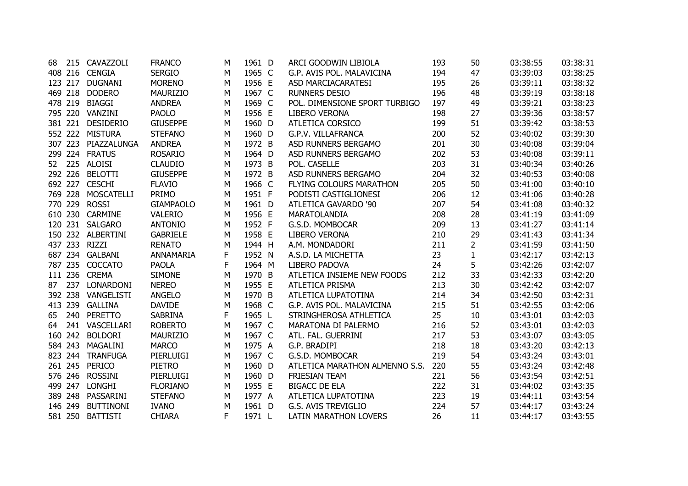| 68 |         | 215 CAVAZZOLI     | <b>FRANCO</b>    | М | 1961 D | ARCI GOODWIN LIBIOLA           | 193 | 50           | 03:38:55 | 03:38:31 |
|----|---------|-------------------|------------------|---|--------|--------------------------------|-----|--------------|----------|----------|
|    |         | 408 216 CENGIA    | <b>SERGIO</b>    | M | 1965 C | G.P. AVIS POL. MALAVICINA      | 194 | 47           | 03:39:03 | 03:38:25 |
|    |         | 123 217 DUGNANI   | <b>MORENO</b>    | М | 1956 E | ASD MARCIACARATESI             | 195 | 26           | 03:39:11 | 03:38:32 |
|    | 469 218 | <b>DODERO</b>     | MAURIZIO         | M | 1967 C | <b>RUNNERS DESIO</b>           | 196 | 48           | 03:39:19 | 03:38:18 |
|    | 478 219 | <b>BIAGGI</b>     | <b>ANDREA</b>    | M | 1969 C | POL. DIMENSIONE SPORT TURBIGO  | 197 | 49           | 03:39:21 | 03:38:23 |
|    |         | 795 220 VANZINI   | <b>PAOLO</b>     | M | 1956 E | <b>LIBERO VERONA</b>           | 198 | 27           | 03:39:36 | 03:38:57 |
|    | 381 221 | <b>DESIDERIO</b>  | <b>GIUSEPPE</b>  | M | 1960 D | ATLETICA CORSICO               | 199 | 51           | 03:39:42 | 03:38:53 |
|    | 552 222 | <b>MISTURA</b>    | <b>STEFANO</b>   | М | 1960 D | G.P.V. VILLAFRANCA             | 200 | 52           | 03:40:02 | 03:39:30 |
|    | 307 223 | PIAZZALUNGA       | <b>ANDREA</b>    | М | 1972 B | ASD RUNNERS BERGAMO            | 201 | 30           | 03:40:08 | 03:39:04 |
|    |         | 299 224 FRATUS    | <b>ROSARIO</b>   | М | 1964 D | ASD RUNNERS BERGAMO            | 202 | 53           | 03:40:08 | 03:39:11 |
|    |         | 52 225 ALOISI     | <b>CLAUDIO</b>   | М | 1973 B | POL. CASELLE                   | 203 | 31           | 03:40:34 | 03:40:26 |
|    |         | 292 226 BELOTTI   | <b>GIUSEPPE</b>  | M | 1972 B | ASD RUNNERS BERGAMO            | 204 | 32           | 03:40:53 | 03:40:08 |
|    |         | 692 227 CESCHI    | <b>FLAVIO</b>    | M | 1966 C | FLYING COLOURS MARATHON        | 205 | 50           | 03:41:00 | 03:40:10 |
|    | 769 228 | MOSCATELLI        | <b>PRIMO</b>     | М | 1951 F | PODISTI CASTIGLIONESI          | 206 | 12           | 03:41:06 | 03:40:28 |
|    | 770 229 | <b>ROSSI</b>      | <b>GIAMPAOLO</b> | M | 1961 D | ATLETICA GAVARDO '90           | 207 | 54           | 03:41:08 | 03:40:32 |
|    | 610 230 | <b>CARMINE</b>    | VALERIO          | М | 1956 E | <b>MARATOLANDIA</b>            | 208 | 28           | 03:41:19 | 03:41:09 |
|    |         | 120 231 SALGARO   | <b>ANTONIO</b>   | M | 1952 F | G.S.D. MOMBOCAR                | 209 | 13           | 03:41:27 | 03:41:14 |
|    |         | 150 232 ALBERTINI | <b>GABRIELE</b>  | M | 1958 E | <b>LIBERO VERONA</b>           | 210 | 29           | 03:41:43 | 03:41:34 |
|    | 437 233 | <b>RIZZI</b>      | <b>RENATO</b>    | М | 1944 H | A.M. MONDADORI                 | 211 | 2            | 03:41:59 | 03:41:50 |
|    |         | 687 234 GALBANI   | ANNAMARIA        | F | 1952 N | A.S.D. LA MICHETTA             | 23  | $\mathbf{1}$ | 03:42:17 | 03:42:13 |
|    |         | 787 235 COCCATO   | <b>PAOLA</b>     | F | 1964 M | <b>LIBERO PADOVA</b>           | 24  | 5            | 03:42:26 | 03:42:07 |
|    |         | 111 236 CREMA     | <b>SIMONE</b>    | М | 1970 B | ATLETICA INSIEME NEW FOODS     | 212 | 33           | 03:42:33 | 03:42:20 |
| 87 | 237     | LONARDONI         | <b>NEREO</b>     | М | 1955 E | <b>ATLETICA PRISMA</b>         | 213 | 30           | 03:42:42 | 03:42:07 |
|    | 392 238 | VANGELISTI        | <b>ANGELO</b>    | M | 1970 B | ATLETICA LUPATOTINA            | 214 | 34           | 03:42:50 | 03:42:31 |
|    |         | 413 239 GALLINA   | <b>DAVIDE</b>    | M | 1968 C | G.P. AVIS POL. MALAVICINA      | 215 | 51           | 03:42:55 | 03:42:06 |
| 65 | 240     | <b>PERETTO</b>    | <b>SABRINA</b>   | F | 1965 L | STRINGHEROSA ATHLETICA         | 25  | 10           | 03:43:01 | 03:42:03 |
| 64 |         | 241 VASCELLARI    | <b>ROBERTO</b>   | М | 1967 C | MARATONA DI PALERMO            | 216 | 52           | 03:43:01 | 03:42:03 |
|    | 160 242 | <b>BOLDORI</b>    | <b>MAURIZIO</b>  | M | 1967 C | ATL. FAL. GUERRINI             | 217 | 53           | 03:43:07 | 03:43:05 |
|    | 584 243 | MAGALINI          | <b>MARCO</b>     | M | 1975 A | G.P. BRADIPI                   | 218 | 18           | 03:43:20 | 03:42:13 |
|    | 823 244 | <b>TRANFUGA</b>   | PIERLUIGI        | М | 1967 C | G.S.D. MOMBOCAR                | 219 | 54           | 03:43:24 | 03:43:01 |
|    | 261 245 | PERICO            | <b>PIETRO</b>    | М | 1960 D | ATLETICA MARATHON ALMENNO S.S. | 220 | 55           | 03:43:24 | 03:42:48 |
|    | 576 246 | <b>ROSSINI</b>    | PIERLUIGI        | М | 1960 D | <b>FRIESIAN TEAM</b>           | 221 | 56           | 03:43:54 | 03:42:51 |
|    | 499 247 | <b>LONGHI</b>     | <b>FLORIANO</b>  | М | 1955 E | <b>BIGACC DE ELA</b>           | 222 | 31           | 03:44:02 | 03:43:35 |
|    | 389 248 | PASSARINI         | <b>STEFANO</b>   | м | 1977 A | ATLETICA LUPATOTINA            | 223 | 19           | 03:44:11 | 03:43:54 |
|    | 146 249 | <b>BUTTINONI</b>  | <b>IVANO</b>     | М | 1961 D | <b>G.S. AVIS TREVIGLIO</b>     | 224 | 57           | 03:44:17 | 03:43:24 |
|    |         | 581 250 BATTISTI  | <b>CHIARA</b>    | F | 1971 L | <b>LATIN MARATHON LOVERS</b>   | 26  | 11           | 03:44:17 | 03:43:55 |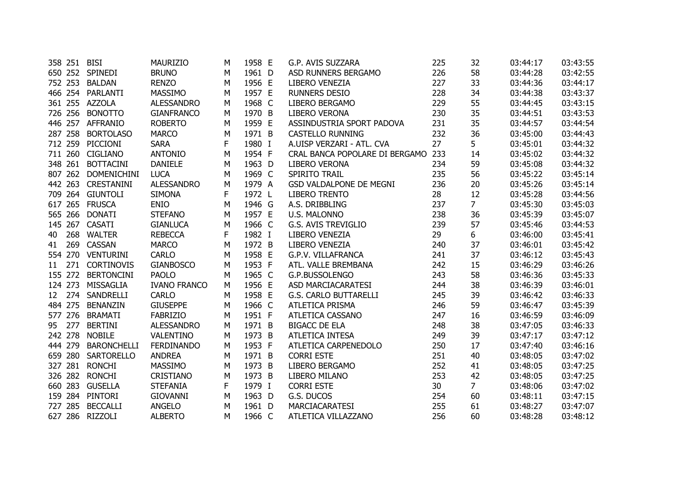|    | 358 251 | <b>BISI</b>        | <b>MAURIZIO</b>     | м | 1958 E | G.P. AVIS SUZZARA              | 225 | 32             | 03:44:17 | 03:43:55 |
|----|---------|--------------------|---------------------|---|--------|--------------------------------|-----|----------------|----------|----------|
|    |         | 650 252 SPINEDI    | <b>BRUNO</b>        | М | 1961 D | ASD RUNNERS BERGAMO            | 226 | 58             | 03:44:28 | 03:42:55 |
|    | 752 253 | <b>BALDAN</b>      | <b>RENZO</b>        | М | 1956 E | LIBERO VENEZIA                 | 227 | 33             | 03:44:36 | 03:44:17 |
|    | 466 254 | PARLANTI           | <b>MASSIMO</b>      | М | 1957 E | <b>RUNNERS DESIO</b>           | 228 | 34             | 03:44:38 | 03:43:37 |
|    |         | 361 255 AZZOLA     | <b>ALESSANDRO</b>   | M | 1968 C | LIBERO BERGAMO                 | 229 | 55             | 03:44:45 | 03:43:15 |
|    | 726 256 | <b>BONOTTO</b>     | <b>GIANFRANCO</b>   | M | 1970 B | <b>LIBERO VERONA</b>           | 230 | 35             | 03:44:51 | 03:43:53 |
|    | 446 257 | <b>AFFRANIO</b>    | <b>ROBERTO</b>      | M | 1959 E | ASSINDUSTRIA SPORT PADOVA      | 231 | 35             | 03:44:57 | 03:44:54 |
|    | 287 258 | <b>BORTOLASO</b>   | <b>MARCO</b>        | М | 1971 B | <b>CASTELLO RUNNING</b>        | 232 | 36             | 03:45:00 | 03:44:43 |
|    | 712 259 | PICCIONI           | <b>SARA</b>         | F | 1980 I | A.UISP VERZARI - ATL. CVA      | 27  | 5              | 03:45:01 | 03:44:32 |
|    | 711 260 | <b>CIGLIANO</b>    | <b>ANTONIO</b>      | М | 1954 F | CRAL BANCA POPOLARE DI BERGAMO | 233 | 14             | 03:45:02 | 03:44:32 |
|    | 348 261 | <b>BOTTACINI</b>   | <b>DANIELE</b>      | M | 1963 D | LIBERO VERONA                  | 234 | 59             | 03:45:08 | 03:44:32 |
|    | 807 262 | <b>DOMENICHINI</b> | <b>LUCA</b>         | М | 1969 C | SPIRITO TRAIL                  | 235 | 56             | 03:45:22 | 03:45:14 |
|    |         | 442 263 CRESTANINI | <b>ALESSANDRO</b>   | M | 1979 A | <b>GSD VALDALPONE DE MEGNI</b> | 236 | 20             | 03:45:26 | 03:45:14 |
|    |         | 709 264 GIUNTOLI   | <b>SIMONA</b>       | F | 1972 L | <b>LIBERO TRENTO</b>           | 28  | 12             | 03:45:28 | 03:44:56 |
|    |         | 617 265 FRUSCA     | <b>ENIO</b>         | M | 1946 G | A.S. DRIBBLING                 | 237 | $\overline{7}$ | 03:45:30 | 03:45:03 |
|    | 565 266 | <b>DONATI</b>      | <b>STEFANO</b>      | М | 1957 E | U.S. MALONNO                   | 238 | 36             | 03:45:39 | 03:45:07 |
|    | 145 267 | <b>CASATI</b>      | <b>GIANLUCA</b>     | M | 1966 C | <b>G.S. AVIS TREVIGLIO</b>     | 239 | 57             | 03:45:46 | 03:44:53 |
| 40 | 268     | <b>WALTER</b>      | <b>REBECCA</b>      | F | 1982 I | LIBERO VENEZIA                 | 29  | 6              | 03:46:00 | 03:45:41 |
| 41 | 269     | <b>CASSAN</b>      | <b>MARCO</b>        | M | 1972 B | LIBERO VENEZIA                 | 240 | 37             | 03:46:01 | 03:45:42 |
|    | 554 270 | <b>VENTURINI</b>   | <b>CARLO</b>        | М | 1958 E | <b>G.P.V. VILLAFRANCA</b>      | 241 | 37             | 03:46:12 | 03:45:43 |
| 11 | 271     | <b>CORTINOVIS</b>  | <b>GIANBOSCO</b>    | М | 1953 F | ATL. VALLE BREMBANA            | 242 | 15             | 03:46:29 | 03:46:26 |
|    | 155 272 | <b>BERTONCINI</b>  | <b>PAOLO</b>        | M | 1965 C | G.P.BUSSOLENGO                 | 243 | 58             | 03:46:36 | 03:45:33 |
|    | 124 273 | MISSAGLIA          | <b>IVANO FRANCO</b> | М | 1956 E | ASD MARCIACARATESI             | 244 | 38             | 03:46:39 | 03:46:01 |
| 12 | 274     | SANDRELLI          | <b>CARLO</b>        | M | 1958 E | <b>G.S. CARLO BUTTARELLI</b>   | 245 | 39             | 03:46:42 | 03:46:33 |
|    | 484 275 | <b>BENANZIN</b>    | <b>GIUSEPPE</b>     | M | 1966 C | ATLETICA PRISMA                | 246 | 59             | 03:46:47 | 03:45:39 |
|    | 577 276 | <b>BRAMATI</b>     | <b>FABRIZIO</b>     | M | 1951 F | ATLETICA CASSANO               | 247 | 16             | 03:46:59 | 03:46:09 |
| 95 | 277     | <b>BERTINI</b>     | <b>ALESSANDRO</b>   | М | 1971 B | <b>BIGACC DE ELA</b>           | 248 | 38             | 03:47:05 | 03:46:33 |
|    | 242 278 | <b>NOBILE</b>      | VALENTINO           | M | 1973 B | <b>ATLETICA INTESA</b>         | 249 | 39             | 03:47:17 | 03:47:12 |
|    | 444 279 | <b>BARONCHELLI</b> | <b>FERDINANDO</b>   | M | 1953 F | ATLETICA CARPENEDOLO           | 250 | 17             | 03:47:40 | 03:46:16 |
|    | 659 280 | <b>SARTORELLO</b>  | <b>ANDREA</b>       | М | 1971 B | <b>CORRI ESTE</b>              | 251 | 40             | 03:48:05 | 03:47:02 |
|    | 327 281 | <b>RONCHI</b>      | <b>MASSIMO</b>      | M | 1973 B | LIBERO BERGAMO                 | 252 | 41             | 03:48:05 | 03:47:25 |
|    | 326 282 | <b>RONCHI</b>      | <b>CRISTIANO</b>    | М | 1973 B | LIBERO MILANO                  | 253 | 42             | 03:48:05 | 03:47:25 |
|    | 660 283 | <b>GUSELLA</b>     | <b>STEFANIA</b>     | F | 1979 I | <b>CORRI ESTE</b>              | 30  | $\overline{7}$ | 03:48:06 | 03:47:02 |
|    | 159 284 | PINTORI            | <b>GIOVANNI</b>     | М | 1963 D | G.S. DUCOS                     | 254 | 60             | 03:48:11 | 03:47:15 |
|    | 727 285 | <b>BECCALLI</b>    | <b>ANGELO</b>       | М | 1961 D | <b>MARCIACARATESI</b>          | 255 | 61             | 03:48:27 | 03:47:07 |
|    |         | 627 286 RIZZOLI    | <b>ALBERTO</b>      | М | 1966 C | ATLETICA VILLAZZANO            | 256 | 60             | 03:48:28 | 03:48:12 |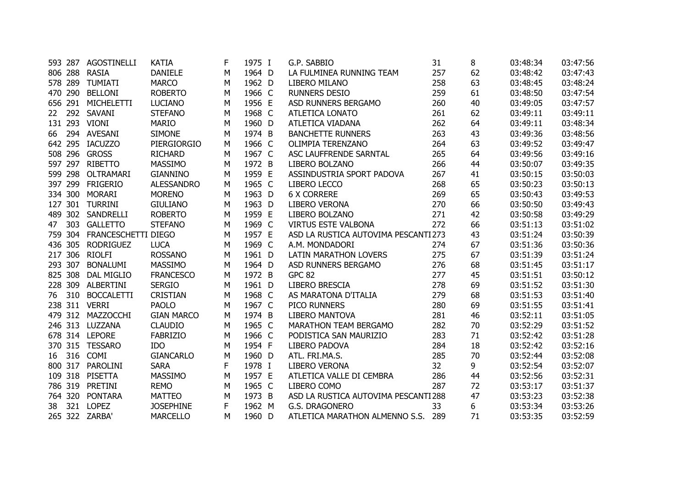|    |         | 593 287 AGOSTINELLI | <b>KATIA</b>      | F | 1975 I | G.P. SABBIO                          | 31  | 8  | 03:48:34 | 03:47:56 |
|----|---------|---------------------|-------------------|---|--------|--------------------------------------|-----|----|----------|----------|
|    | 806 288 | <b>RASIA</b>        | <b>DANIELE</b>    | М | 1964 D | LA FULMINEA RUNNING TEAM             | 257 | 62 | 03:48:42 | 03:47:43 |
|    | 578 289 | <b>TUMIATI</b>      | <b>MARCO</b>      | M | 1962 D | LIBERO MILANO                        | 258 | 63 | 03:48:45 | 03:48:24 |
|    | 470 290 | <b>BELLONI</b>      | <b>ROBERTO</b>    | M | 1966 C | <b>RUNNERS DESIO</b>                 | 259 | 61 | 03:48:50 | 03:47:54 |
|    |         | 656 291 MICHELETTI  | <b>LUCIANO</b>    | M | 1956 E | ASD RUNNERS BERGAMO                  | 260 | 40 | 03:49:05 | 03:47:57 |
| 22 |         | 292 SAVANI          | <b>STEFANO</b>    | M | 1968 C | ATLETICA LONATO                      | 261 | 62 | 03:49:11 | 03:49:11 |
|    |         | 131 293 VIONI       | <b>MARIO</b>      | M | 1960 D | ATLETICA VIADANA                     | 262 | 64 | 03:49:11 | 03:48:34 |
| 66 |         | 294 AVESANI         | <b>SIMONE</b>     | М | 1974 B | <b>BANCHETTE RUNNERS</b>             | 263 | 43 | 03:49:36 | 03:48:56 |
|    |         | 642 295 IACUZZO     | PIERGIORGIO       | M | 1966 C | OLIMPIA TERENZANO                    | 264 | 63 | 03:49:52 | 03:49:47 |
|    |         | 508 296 GROSS       | <b>RICHARD</b>    | M | 1967 C | ASC LAUFFRENDE SARNTAL               | 265 | 64 | 03:49:56 | 03:49:16 |
|    |         | 597 297 RIBETTO     | <b>MASSIMO</b>    | M | 1972 B | LIBERO BOLZANO                       | 266 | 44 | 03:50:07 | 03:49:35 |
|    | 599 298 | OLTRAMARI           | <b>GIANNINO</b>   | M | 1959 E | ASSINDUSTRIA SPORT PADOVA            | 267 | 41 | 03:50:15 | 03:50:03 |
|    | 397 299 | <b>FRIGERIO</b>     | ALESSANDRO        | M | 1965 C | LIBERO LECCO                         | 268 | 65 | 03:50:23 | 03:50:13 |
|    | 334 300 | <b>MORARI</b>       | <b>MORENO</b>     | M | 1963 D | <b>6 X CORRERE</b>                   | 269 | 65 | 03:50:43 | 03:49:53 |
|    | 127 301 | TURRINI             | <b>GIULIANO</b>   | M | 1963 D | LIBERO VERONA                        | 270 | 66 | 03:50:50 | 03:49:43 |
|    |         | 489 302 SANDRELLI   | <b>ROBERTO</b>    | M | 1959 E | LIBERO BOLZANO                       | 271 | 42 | 03:50:58 | 03:49:29 |
| 47 | 303     | <b>GALLETTO</b>     | <b>STEFANO</b>    | М | 1969 C | <b>VIRTUS ESTE VALBONA</b>           | 272 | 66 | 03:51:13 | 03:51:02 |
|    | 759 304 | FRANCESCHETTI DIEGO |                   | M | 1957 E | ASD LA RUSTICA AUTOVIMA PESCANTI 273 |     | 43 | 03:51:24 | 03:50:39 |
|    | 436 305 | <b>RODRIGUEZ</b>    | <b>LUCA</b>       | М | 1969 C | A.M. MONDADORI                       | 274 | 67 | 03:51:36 | 03:50:36 |
|    |         | 217 306 RIOLFI      | <b>ROSSANO</b>    | M | 1961 D | LATIN MARATHON LOVERS                | 275 | 67 | 03:51:39 | 03:51:24 |
|    | 293 307 | <b>BONALUMI</b>     | <b>MASSIMO</b>    | M | 1964 D | ASD RUNNERS BERGAMO                  | 276 | 68 | 03:51:45 | 03:51:17 |
|    | 825 308 | <b>DAL MIGLIO</b>   | <b>FRANCESCO</b>  | M | 1972 B | <b>GPC 82</b>                        | 277 | 45 | 03:51:51 | 03:50:12 |
|    |         | 228 309 ALBERTINI   | <b>SERGIO</b>     | M | 1961 D | LIBERO BRESCIA                       | 278 | 69 | 03:51:52 | 03:51:30 |
|    |         | 76 310 BOCCALETTI   | <b>CRISTIAN</b>   | M | 1968 C | AS MARATONA D'ITALIA                 | 279 | 68 | 03:51:53 | 03:51:40 |
|    |         | 238 311 VERRI       | <b>PAOLO</b>      | M | 1967 C | PICO RUNNERS                         | 280 | 69 | 03:51:55 | 03:51:41 |
|    |         | 479 312 MAZZOCCHI   | <b>GIAN MARCO</b> | M | 1974 B | <b>LIBERO MANTOVA</b>                | 281 | 46 | 03:52:11 | 03:51:05 |
|    |         | 246 313 LUZZANA     | <b>CLAUDIO</b>    | M | 1965 C | MARATHON TEAM BERGAMO                | 282 | 70 | 03:52:29 | 03:51:52 |
|    |         | 678 314 LEPORE      | <b>FABRIZIO</b>   | M | 1966 C | PODISTICA SAN MAURIZIO               | 283 | 71 | 03:52:42 | 03:51:28 |
|    |         | 370 315 TESSARO     | IDO               | M | 1954 F | LIBERO PADOVA                        | 284 | 18 | 03:52:42 | 03:52:16 |
| 16 |         | 316 COMI            | <b>GIANCARLO</b>  | М | 1960 D | ATL. FRI.MA.S.                       | 285 | 70 | 03:52:44 | 03:52:08 |
|    |         | 800 317 PAROLINI    | <b>SARA</b>       | F | 1978 I | LIBERO VERONA                        | 32  | 9  | 03:52:54 | 03:52:07 |
|    |         | 109 318 PISETTA     | MASSIMO           | М | 1957 E | ATLETICA VALLE DI CEMBRA             | 286 | 44 | 03:52:56 | 03:52:31 |
|    |         | 786 319 PRETINI     | <b>REMO</b>       | M | 1965 C | LIBERO COMO                          | 287 | 72 | 03:53:17 | 03:51:37 |
|    | 764 320 | <b>PONTARA</b>      | <b>MATTEO</b>     | М | 1973 B | ASD LA RUSTICA AUTOVIMA PESCANTI 288 |     | 47 | 03:53:23 | 03:52:38 |
| 38 | 321     | <b>LOPEZ</b>        | <b>JOSEPHINE</b>  | F | 1962 M | G.S. DRAGONERO                       | 33  | 6  | 03:53:34 | 03:53:26 |
|    |         | 265 322 ZARBA'      | <b>MARCELLO</b>   | М | 1960 D | ATLETICA MARATHON ALMENNO S.S.       | 289 | 71 | 03:53:35 | 03:52:59 |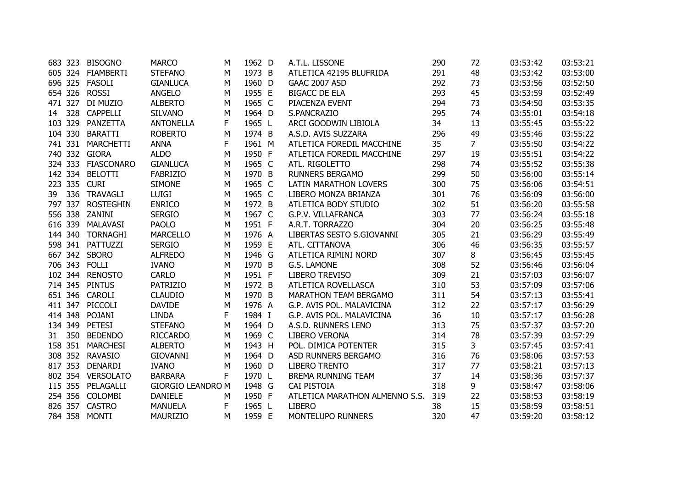| 683 323   | <b>BISOGNO</b>   | <b>MARCO</b>                                                                                                                                                                                                                                                                                                                                                                                                                                                                                                                    | м                              | 1962 D                        |                                                                                                  | A.T.L. LISSONE               | 290                                                                                               | 72                                                                                          | 03:53:42                 | 03:53:21                         |
|-----------|------------------|---------------------------------------------------------------------------------------------------------------------------------------------------------------------------------------------------------------------------------------------------------------------------------------------------------------------------------------------------------------------------------------------------------------------------------------------------------------------------------------------------------------------------------|--------------------------------|-------------------------------|--------------------------------------------------------------------------------------------------|------------------------------|---------------------------------------------------------------------------------------------------|---------------------------------------------------------------------------------------------|--------------------------|----------------------------------|
|           |                  | <b>STEFANO</b>                                                                                                                                                                                                                                                                                                                                                                                                                                                                                                                  | м                              | 1973 B                        |                                                                                                  | ATLETICA 42195 BLUFRIDA      | 291                                                                                               | 48                                                                                          | 03:53:42                 | 03:53:00                         |
|           |                  | <b>GIANLUCA</b>                                                                                                                                                                                                                                                                                                                                                                                                                                                                                                                 | м                              | 1960 D                        |                                                                                                  | <b>GAAC 2007 ASD</b>         | 292                                                                                               | 73                                                                                          | 03:53:56                 | 03:52:50                         |
|           |                  | <b>ANGELO</b>                                                                                                                                                                                                                                                                                                                                                                                                                                                                                                                   | Μ                              | 1955 E                        |                                                                                                  | <b>BIGACC DE ELA</b>         | 293                                                                                               | 45                                                                                          | 03:53:59                 | 03:52:49                         |
|           |                  | <b>ALBERTO</b>                                                                                                                                                                                                                                                                                                                                                                                                                                                                                                                  | М                              | 1965 C                        |                                                                                                  | PIACENZA EVENT               | 294                                                                                               | 73                                                                                          | 03:54:50                 | 03:53:35                         |
| 328<br>14 | <b>CAPPELLI</b>  | <b>SILVANO</b>                                                                                                                                                                                                                                                                                                                                                                                                                                                                                                                  | M                              | 1964 D                        |                                                                                                  | S.PANCRAZIO                  | 295                                                                                               | 74                                                                                          | 03:55:01                 | 03:54:18                         |
| 103 329   | PANZETTA         | <b>ANTONELLA</b>                                                                                                                                                                                                                                                                                                                                                                                                                                                                                                                | F                              | 1965 L                        |                                                                                                  | ARCI GOODWIN LIBIOLA         | 34                                                                                                | 13                                                                                          | 03:55:45                 | 03:55:22                         |
| 104 330   | <b>BARATTI</b>   | <b>ROBERTO</b>                                                                                                                                                                                                                                                                                                                                                                                                                                                                                                                  | Μ                              | 1974 B                        |                                                                                                  | A.S.D. AVIS SUZZARA          | 296                                                                                               | 49                                                                                          | 03:55:46                 | 03:55:22                         |
| 741 331   | MARCHETTI        | <b>ANNA</b>                                                                                                                                                                                                                                                                                                                                                                                                                                                                                                                     | F                              | 1961 M                        |                                                                                                  | ATLETICA FOREDIL MACCHINE    | 35                                                                                                | $\overline{7}$                                                                              | 03:55:50                 | 03:54:22                         |
|           |                  | <b>ALDO</b>                                                                                                                                                                                                                                                                                                                                                                                                                                                                                                                     | м                              | 1950 F                        |                                                                                                  | ATLETICA FOREDIL MACCHINE    | 297                                                                                               | 19                                                                                          | 03:55:51                 | 03:54:22                         |
|           |                  | <b>GIANLUCA</b>                                                                                                                                                                                                                                                                                                                                                                                                                                                                                                                 | M                              | 1965 C                        |                                                                                                  | ATL. RIGOLETTO               | 298                                                                                               | 74                                                                                          | 03:55:52                 | 03:55:38                         |
|           |                  | <b>FABRIZIO</b>                                                                                                                                                                                                                                                                                                                                                                                                                                                                                                                 | М                              | 1970 B                        |                                                                                                  | <b>RUNNERS BERGAMO</b>       | 299                                                                                               | 50                                                                                          | 03:56:00                 | 03:55:14                         |
|           |                  | <b>SIMONE</b>                                                                                                                                                                                                                                                                                                                                                                                                                                                                                                                   | М                              | 1965 C                        |                                                                                                  | <b>LATIN MARATHON LOVERS</b> | 300                                                                                               | 75                                                                                          | 03:56:06                 | 03:54:51                         |
|           |                  | <b>LUIGI</b>                                                                                                                                                                                                                                                                                                                                                                                                                                                                                                                    | м                              | 1965 C                        |                                                                                                  | LIBERO MONZA BRIANZA         | 301                                                                                               | 76                                                                                          | 03:56:09                 | 03:56:00                         |
|           |                  | <b>ENRICO</b>                                                                                                                                                                                                                                                                                                                                                                                                                                                                                                                   | Μ                              | 1972 B                        |                                                                                                  | ATLETICA BODY STUDIO         | 302                                                                                               | 51                                                                                          | 03:56:20                 | 03:55:58                         |
|           | ZANINI           | <b>SERGIO</b>                                                                                                                                                                                                                                                                                                                                                                                                                                                                                                                   | Μ                              | 1967 C                        |                                                                                                  | G.P.V. VILLAFRANCA           | 303                                                                                               | 77                                                                                          | 03:56:24                 | 03:55:18                         |
| 616 339   | MALAVASI         | <b>PAOLO</b>                                                                                                                                                                                                                                                                                                                                                                                                                                                                                                                    | M                              | 1951 F                        |                                                                                                  | A.R.T. TORRAZZO              | 304                                                                                               | 20                                                                                          | 03:56:25                 | 03:55:48                         |
| 144 340   | <b>TORNAGHI</b>  | <b>MARCELLO</b>                                                                                                                                                                                                                                                                                                                                                                                                                                                                                                                 | м                              | 1976 A                        |                                                                                                  | LIBERTAS SESTO S.GIOVANNI    | 305                                                                                               | 21                                                                                          | 03:56:29                 | 03:55:49                         |
|           |                  | <b>SERGIO</b>                                                                                                                                                                                                                                                                                                                                                                                                                                                                                                                   | M                              | 1959 E                        |                                                                                                  | ATL. CITTANOVA               | 306                                                                                               | 46                                                                                          | 03:56:35                 | 03:55:57                         |
|           |                  | <b>ALFREDO</b>                                                                                                                                                                                                                                                                                                                                                                                                                                                                                                                  | Μ                              | 1946 G                        |                                                                                                  | ATLETICA RIMINI NORD         | 307                                                                                               | 8                                                                                           | 03:56:45                 | 03:55:45                         |
|           |                  | <b>IVANO</b>                                                                                                                                                                                                                                                                                                                                                                                                                                                                                                                    | м                              | 1970 B                        |                                                                                                  | G.S. LAMONE                  | 308                                                                                               | 52                                                                                          | 03:56:46                 | 03:56:04                         |
|           |                  | <b>CARLO</b>                                                                                                                                                                                                                                                                                                                                                                                                                                                                                                                    | М                              |                               |                                                                                                  | LIBERO TREVISO               | 309                                                                                               | 21                                                                                          | 03:57:03                 | 03:56:07                         |
|           |                  | <b>PATRIZIO</b>                                                                                                                                                                                                                                                                                                                                                                                                                                                                                                                 | М                              | 1972 B                        |                                                                                                  | ATLETICA ROVELLASCA          | 310                                                                                               | 53                                                                                          | 03:57:09                 | 03:57:06                         |
|           |                  | <b>CLAUDIO</b>                                                                                                                                                                                                                                                                                                                                                                                                                                                                                                                  | М                              |                               |                                                                                                  | MARATHON TEAM BERGAMO        |                                                                                                   | 54                                                                                          | 03:57:13                 | 03:55:41                         |
|           |                  | <b>DAVIDE</b>                                                                                                                                                                                                                                                                                                                                                                                                                                                                                                                   | Μ                              |                               |                                                                                                  | G.P. AVIS POL. MALAVICINA    |                                                                                                   | 22                                                                                          | 03:57:17                 | 03:56:29                         |
|           |                  | <b>LINDA</b>                                                                                                                                                                                                                                                                                                                                                                                                                                                                                                                    |                                |                               |                                                                                                  |                              |                                                                                                   | 10                                                                                          | 03:57:17                 | 03:56:28                         |
|           | <b>PETESI</b>    | <b>STEFANO</b>                                                                                                                                                                                                                                                                                                                                                                                                                                                                                                                  | M                              | 1964 D                        |                                                                                                  | A.S.D. RUNNERS LENO          | 313                                                                                               | 75                                                                                          | 03:57:37                 | 03:57:20                         |
|           |                  | <b>RICCARDO</b>                                                                                                                                                                                                                                                                                                                                                                                                                                                                                                                 | M                              |                               |                                                                                                  |                              |                                                                                                   |                                                                                             |                          | 03:57:29                         |
|           |                  |                                                                                                                                                                                                                                                                                                                                                                                                                                                                                                                                 | М                              |                               |                                                                                                  |                              |                                                                                                   |                                                                                             |                          | 03:57:41                         |
|           | <b>RAVASIO</b>   | <b>GIOVANNI</b>                                                                                                                                                                                                                                                                                                                                                                                                                                                                                                                 | M                              |                               |                                                                                                  | ASD RUNNERS BERGAMO          |                                                                                                   | 76                                                                                          | 03:58:06                 | 03:57:53                         |
|           |                  |                                                                                                                                                                                                                                                                                                                                                                                                                                                                                                                                 | M                              |                               |                                                                                                  |                              |                                                                                                   |                                                                                             |                          | 03:57:13                         |
|           | <b>VERSOLATO</b> | <b>BARBARA</b>                                                                                                                                                                                                                                                                                                                                                                                                                                                                                                                  | F                              |                               |                                                                                                  | BREMA RUNNING TEAM           |                                                                                                   | 14                                                                                          | 03:58:36                 | 03:57:37                         |
|           |                  |                                                                                                                                                                                                                                                                                                                                                                                                                                                                                                                                 |                                |                               |                                                                                                  | CAI PISTOIA                  |                                                                                                   | 9                                                                                           | 03:58:47                 | 03:58:06                         |
|           | <b>COLOMBI</b>   | <b>DANIELE</b>                                                                                                                                                                                                                                                                                                                                                                                                                                                                                                                  | M                              | 1950 F                        |                                                                                                  |                              | 319                                                                                               | 22                                                                                          | 03:58:53                 | 03:58:19                         |
|           | <b>CASTRO</b>    | <b>MANUELA</b>                                                                                                                                                                                                                                                                                                                                                                                                                                                                                                                  | F                              | 1965 L                        |                                                                                                  | <b>LIBERO</b>                | 38                                                                                                | 15                                                                                          | 03:58:59                 | 03:58:51                         |
| 784 358   |                  | MAURIZIO                                                                                                                                                                                                                                                                                                                                                                                                                                                                                                                        | м                              | 1959 E                        |                                                                                                  | MONTELUPO RUNNERS            | 320                                                                                               | 47                                                                                          | 03:59:20                 | 03:58:12                         |
|           | 817 353          | 605 324 FIAMBERTI<br>696 325 FASOLI<br>654 326 ROSSI<br>471 327 DI MUZIO<br>740 332 GIORA<br>324 333 FIASCONARO<br>142 334 BELOTTI<br>223 335 CURI<br>39 336 TRAVAGLI<br>797 337 ROSTEGHIN<br>556 338<br>598 341 PATTUZZI<br>667 342 SBORO<br>706 343 FOLLI<br>102 344 RENOSTO<br>714 345 PINTUS<br>651 346 CAROLI<br>411 347 PICCOLI<br>414 348 POJANI<br>134 349<br>350<br><b>BEDENDO</b><br>158 351<br><b>MARCHESI</b><br>308 352<br><b>DENARDI</b><br>802 354<br>115 355<br>PELAGALLI<br>254 356<br>826 357<br><b>MONTI</b> | <b>ALBERTO</b><br><b>IVANO</b> | F<br><b>GIORGIO LEANDRO M</b> | 1951 F<br>1970 B<br>1976 A<br>1984 I<br>1969 C<br>1943 H<br>1964 D<br>1960 D<br>1970 L<br>1948 G |                              | G.P. AVIS POL. MALAVICINA<br><b>LIBERO VERONA</b><br>POL. DIMICA POTENTER<br><b>LIBERO TRENTO</b> | 311<br>312<br>36<br>314<br>315<br>316<br>317<br>37<br>318<br>ATLETICA MARATHON ALMENNO S.S. | 78<br>$\mathbf{3}$<br>77 | 03:57:39<br>03:57:45<br>03:58:21 |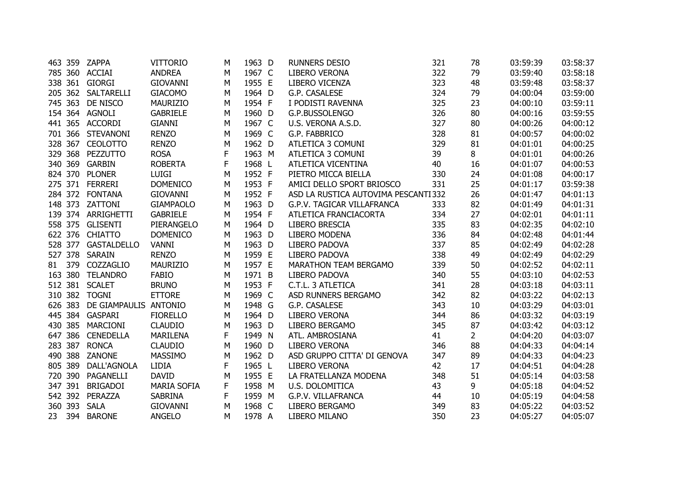|    |         | 463 359 ZAPPA                 | <b>VITTORIO</b>    | М | 1963 D | <b>RUNNERS DESIO</b>                | 321 | 78          | 03:59:39 | 03:58:37 |
|----|---------|-------------------------------|--------------------|---|--------|-------------------------------------|-----|-------------|----------|----------|
|    |         | 785 360 ACCIAI                | <b>ANDREA</b>      | М | 1967 C | LIBERO VERONA                       | 322 | 79          | 03:59:40 | 03:58:18 |
|    |         | 338 361 GIORGI                | <b>GIOVANNI</b>    | M | 1955 E | LIBERO VICENZA                      | 323 | 48          | 03:59:48 | 03:58:37 |
|    |         | 205 362 SALTARELLI            | <b>GIACOMO</b>     | M | 1964 D | G.P. CASALESE                       | 324 | 79          | 04:00:04 | 03:59:00 |
|    | 745 363 | DE NISCO                      | <b>MAURIZIO</b>    | M | 1954 F | I PODISTI RAVENNA                   | 325 | 23          | 04:00:10 | 03:59:11 |
|    |         | 154 364 AGNOLI                | <b>GABRIELE</b>    | М | 1960 D | G.P.BUSSOLENGO                      | 326 | 80          | 04:00:16 | 03:59:55 |
|    |         | 441 365 ACCORDI               | <b>GIANNI</b>      | М | 1967 C | U.S. VERONA A.S.D.                  | 327 | 80          | 04:00:26 | 04:00:12 |
|    |         | 701 366 STEVANONI             | <b>RENZO</b>       | М | 1969 C | G.P. FABBRICO                       | 328 | 81          | 04:00:57 | 04:00:02 |
|    | 328 367 | <b>CEOLOTTO</b>               | <b>RENZO</b>       | М | 1962 D | ATLETICA 3 COMUNI                   | 329 | 81          | 04:01:01 | 04:00:25 |
|    |         | 329 368 PEZZUTTO              | <b>ROSA</b>        | F | 1963 M | ATLETICA 3 COMUNI                   | 39  | 8           | 04:01:01 | 04:00:26 |
|    |         | 340 369 GARBIN                | <b>ROBERTA</b>     | F | 1968 L | ATLETICA VICENTINA                  | 40  | 16          | 04:01:07 | 04:00:53 |
|    |         | 824 370 PLONER                | <b>LUIGI</b>       | M | 1952 F | PIETRO MICCA BIELLA                 | 330 | 24          | 04:01:08 | 04:00:17 |
|    |         | 275 371 FERRERI               | <b>DOMENICO</b>    | M | 1953 F | AMICI DELLO SPORT BRIOSCO           | 331 | 25          | 04:01:17 | 03:59:38 |
|    |         | 284 372 FONTANA               | <b>GIOVANNI</b>    | M | 1952 F | ASD LA RUSTICA AUTOVIMA PESCANTI332 |     | 26          | 04:01:47 | 04:01:13 |
|    |         | 148 373 ZATTONI               | <b>GIAMPAOLO</b>   | M | 1963 D | G.P.V. TAGICAR VILLAFRANCA          | 333 | 82          | 04:01:49 | 04:01:31 |
|    |         | 139 374 ARRIGHETTI            | <b>GABRIELE</b>    | M | 1954 F | ATLETICA FRANCIACORTA               | 334 | 27          | 04:02:01 | 04:01:11 |
|    |         | 558 375 GLISENTI              | PIERANGELO         | м | 1964 D | LIBERO BRESCIA                      | 335 | 83          | 04:02:35 | 04:02:10 |
|    |         | 622 376 CHIATTO               | <b>DOMENICO</b>    | М | 1963 D | LIBERO MODENA                       | 336 | 84          | 04:02:48 | 04:01:44 |
|    |         | 528 377 GASTALDELLO           | <b>VANNI</b>       | M | 1963 D | LIBERO PADOVA                       | 337 | 85          | 04:02:49 | 04:02:28 |
|    |         | 527 378 SARAIN                | <b>RENZO</b>       | М | 1959 E | LIBERO PADOVA                       | 338 | 49          | 04:02:49 | 04:02:29 |
| 81 | 379     | COZZAGLIO                     | MAURIZIO           | M | 1957 E | MARATHON TEAM BERGAMO               | 339 | 50          | 04:02:52 | 04:02:11 |
|    |         | 163 380 TELANDRO              | <b>FABIO</b>       | M | 1971 B | LIBERO PADOVA                       | 340 | 55          | 04:03:10 | 04:02:53 |
|    |         | 512 381 SCALET                | <b>BRUNO</b>       | М | 1953 F | C.T.L. 3 ATLETICA                   | 341 | 28          | 04:03:18 | 04:03:11 |
|    |         | 310 382 TOGNI                 | <b>ETTORE</b>      | M | 1969 C | ASD RUNNERS BERGAMO                 | 342 | 82          | 04:03:22 | 04:02:13 |
|    |         | 626 383 DE GIAMPAULIS ANTONIO |                    | M | 1948 G | G.P. CASALESE                       | 343 | 10          | 04:03:29 | 04:03:01 |
|    |         | 445 384 GASPARI               | <b>FIORELLO</b>    | M | 1964 D | <b>LIBERO VERONA</b>                | 344 | 86          | 04:03:32 | 04:03:19 |
|    |         | 430 385 MARCIONI              | <b>CLAUDIO</b>     | M | 1963 D | LIBERO BERGAMO                      | 345 | 87          | 04:03:42 | 04:03:12 |
|    | 647 386 | <b>CENEDELLA</b>              | <b>MARILENA</b>    | F | 1949 N | ATL. AMBROSIANA                     | 41  | $2^{\circ}$ | 04:04:20 | 04:03:07 |
|    | 283 387 | <b>RONCA</b>                  | <b>CLAUDIO</b>     | M | 1960 D | <b>LIBERO VERONA</b>                | 346 | 88          | 04:04:33 | 04:04:14 |
|    | 490 388 | ZANONE                        | <b>MASSIMO</b>     | M | 1962 D | ASD GRUPPO CITTA' DI GENOVA         | 347 | 89          | 04:04:33 | 04:04:23 |
|    | 805 389 | DALL'AGNOLA                   | <b>LIDIA</b>       | F | 1965 L | <b>LIBERO VERONA</b>                | 42  | 17          | 04:04:51 | 04:04:28 |
|    | 720 390 | PAGANELLI                     | <b>DAVID</b>       | М | 1955 E | LA FRATELLANZA MODENA               | 348 | 51          | 04:05:14 | 04:03:58 |
|    | 347 391 | <b>BRIGADOI</b>               | <b>MARIA SOFIA</b> | F | 1958 M | U.S. DOLOMITICA                     | 43  | 9           | 04:05:18 | 04:04:52 |
|    | 542 392 | PERAZZA                       | <b>SABRINA</b>     | F | 1959 M | G.P.V. VILLAFRANCA                  | 44  | 10          | 04:05:19 | 04:04:58 |
|    | 360 393 | <b>SALA</b>                   | <b>GIOVANNI</b>    | M | 1968 C | LIBERO BERGAMO                      | 349 | 83          | 04:05:22 | 04:03:52 |
|    |         | 23 394 BARONE                 | <b>ANGELO</b>      | М | 1978 A | LIBERO MILANO                       | 350 | 23          | 04:05:27 | 04:05:07 |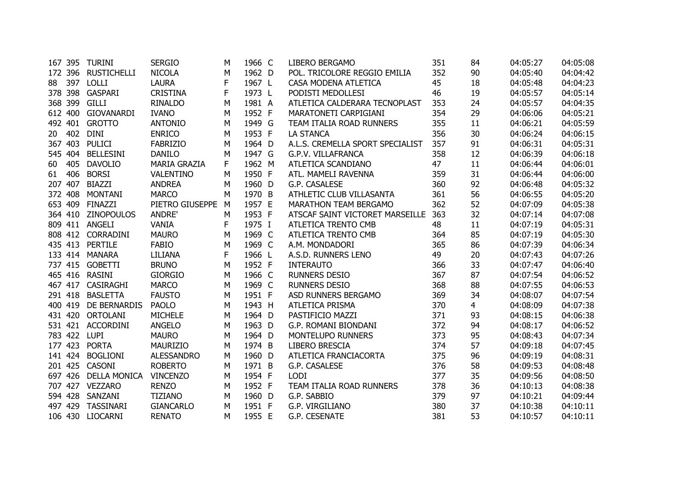|    |         | 167 395 TURINI       | <b>SERGIO</b>       | М | 1966 C | LIBERO BERGAMO                   | 351 | 84             | 04:05:27 | 04:05:08 |
|----|---------|----------------------|---------------------|---|--------|----------------------------------|-----|----------------|----------|----------|
|    |         | 172 396 RUSTICHELLI  | <b>NICOLA</b>       | M | 1962 D | POL. TRICOLORE REGGIO EMILIA     | 352 | 90             | 04:05:40 | 04:04:42 |
| 88 | 397     | LOLLI                | <b>LAURA</b>        | F | 1967 L | CASA MODENA ATLETICA             | 45  | 18             | 04:05:48 | 04:04:23 |
|    | 378 398 | GASPARI              | <b>CRISTINA</b>     | F | 1973 L | PODISTI MEDOLLESI                | 46  | 19             | 04:05:57 | 04:05:14 |
|    | 368 399 | <b>GILLI</b>         | <b>RINALDO</b>      | М | 1981 A | ATLETICA CALDERARA TECNOPLAST    | 353 | 24             | 04:05:57 | 04:04:35 |
|    | 612 400 | <b>GIOVANARDI</b>    | <b>IVANO</b>        | М | 1952 F | MARATONETI CARPIGIANI            | 354 | 29             | 04:06:06 | 04:05:21 |
|    |         | 492 401 GROTTO       | <b>ANTONIO</b>      | M | 1949 G | TEAM ITALIA ROAD RUNNERS         | 355 | 11             | 04:06:21 | 04:05:59 |
| 20 | 402     | <b>DINI</b>          | <b>ENRICO</b>       | М | 1953 F | <b>LA STANCA</b>                 | 356 | 30             | 04:06:24 | 04:06:15 |
|    | 367 403 | <b>PULICI</b>        | <b>FABRIZIO</b>     | М | 1964 D | A.L.S. CREMELLA SPORT SPECIALIST | 357 | 91             | 04:06:31 | 04:05:31 |
|    | 545 404 | <b>BELLESINI</b>     | <b>DANILO</b>       | М | 1947 G | G.P.V. VILLAFRANCA               | 358 | 12             | 04:06:39 | 04:06:18 |
| 60 | 405     | <b>DAVOLIO</b>       | <b>MARIA GRAZIA</b> | F | 1962 M | ATLETICA SCANDIANO               | 47  | 11             | 04:06:44 | 04:06:01 |
| 61 | 406     | <b>BORSI</b>         | VALENTINO           | М | 1950 F | ATL. MAMELI RAVENNA              | 359 | 31             | 04:06:44 | 04:06:00 |
|    | 207 407 | <b>BIAZZI</b>        | <b>ANDREA</b>       | М | 1960 D | G.P. CASALESE                    | 360 | 92             | 04:06:48 | 04:05:32 |
|    | 372 408 | <b>MONTANI</b>       | <b>MARCO</b>        | M | 1970 B | ATHLETIC CLUB VILLASANTA         | 361 | 56             | 04:06:55 | 04:05:20 |
|    | 653 409 | FINAZZI              | PIETRO GIUSEPPE M   |   | 1957 E | MARATHON TEAM BERGAMO            | 362 | 52             | 04:07:09 | 04:05:38 |
|    |         | 364 410 ZINOPOULOS   | ANDRE'              | M | 1953 F | ATSCAF SAINT VICTORET MARSEILLE  | 363 | 32             | 04:07:14 | 04:07:08 |
|    |         | 809 411 ANGELI       | <b>VANIA</b>        | F | 1975 I | ATLETICA TRENTO CMB              | 48  | 11             | 04:07:19 | 04:05:31 |
|    | 808 412 | CORRADINI            | <b>MAURO</b>        | M | 1969 C | ATLETICA TRENTO CMB              | 364 | 85             | 04:07:19 | 04:05:30 |
|    | 435 413 | <b>PERTILE</b>       | <b>FABIO</b>        | M | 1969 C | A.M. MONDADORI                   | 365 | 86             | 04:07:39 | 04:06:34 |
|    |         | 133 414 MANARA       | LILIANA             | F | 1966 L | A.S.D. RUNNERS LENO              | 49  | 20             | 04:07:43 | 04:07:26 |
|    |         | 737 415 GOBETTI      | <b>BRUNO</b>        | М | 1952 F | <b>INTERAUTO</b>                 | 366 | 33             | 04:07:47 | 04:06:40 |
|    |         | 465 416 RASINI       | <b>GIORGIO</b>      | М | 1966 C | RUNNERS DESIO                    | 367 | 87             | 04:07:54 | 04:06:52 |
|    |         | 467 417 CASIRAGHI    | <b>MARCO</b>        | М | 1969 C | <b>RUNNERS DESIO</b>             | 368 | 88             | 04:07:55 | 04:06:53 |
|    | 291 418 | <b>BASLETTA</b>      | <b>FAUSTO</b>       | M | 1951 F | ASD RUNNERS BERGAMO              | 369 | 34             | 04:08:07 | 04:07:54 |
|    | 400 419 | DE BERNARDIS         | <b>PAOLO</b>        | M | 1943 H | ATLETICA PRISMA                  | 370 | $\overline{4}$ | 04:08:09 | 04:07:38 |
|    |         | 431 420 ORTOLANI     | <b>MICHELE</b>      | M | 1964 D | PASTIFICIO MAZZI                 | 371 | 93             | 04:08:15 | 04:06:38 |
|    |         | 531 421 ACCORDINI    | <b>ANGELO</b>       | M | 1963 D | G.P. ROMANI BIONDANI             | 372 | 94             | 04:08:17 | 04:06:52 |
|    |         | 783 422 LUPI         | <b>MAURO</b>        | M | 1964 D | MONTELUPO RUNNERS                | 373 | 95             | 04:08:43 | 04:07:34 |
|    | 177 423 | <b>PORTA</b>         | <b>MAURIZIO</b>     | M | 1974 B | LIBERO BRESCIA                   | 374 | 57             | 04:09:18 | 04:07:45 |
|    | 141 424 | <b>BOGLIONI</b>      | <b>ALESSANDRO</b>   | M | 1960 D | ATLETICA FRANCIACORTA            | 375 | 96             | 04:09:19 | 04:08:31 |
|    | 201 425 | <b>CASONI</b>        | <b>ROBERTO</b>      | М | 1971 B | G.P. CASALESE                    | 376 | 58             | 04:09:53 | 04:08:48 |
|    |         | 697 426 DELLA MONICA | <b>VINCENZO</b>     | М | 1954 F | <b>LODI</b>                      | 377 | 35             | 04:09:56 | 04:08:50 |
|    |         | 707 427 VEZZARO      | <b>RENZO</b>        | M | 1952 F | TEAM ITALIA ROAD RUNNERS         | 378 | 36             | 04:10:13 | 04:08:38 |
|    |         | 594 428 SANZANI      | <b>TIZIANO</b>      | M | 1960 D | G.P. SABBIO                      | 379 | 97             | 04:10:21 | 04:09:44 |
|    |         | 497 429 TASSINARI    | <b>GIANCARLO</b>    | М | 1951 F | G.P. VIRGILIANO                  | 380 | 37             | 04:10:38 | 04:10:11 |
|    |         | 106 430 LIOCARNI     | <b>RENATO</b>       | М | 1955 E | G.P. CESENATE                    | 381 | 53             | 04:10:57 | 04:10:11 |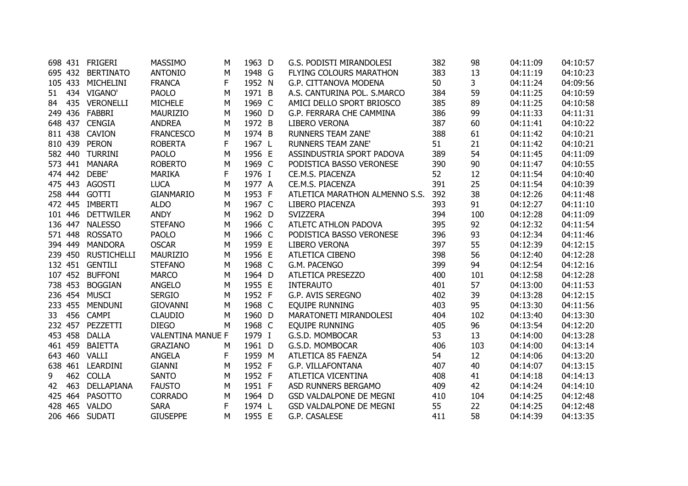|    |         | 698 431 FRIGERI    | <b>MASSIMO</b>           | М | 1963 D | G.S. PODISTI MIRANDOLESI       | 382 | 98  | 04:11:09 | 04:10:57 |
|----|---------|--------------------|--------------------------|---|--------|--------------------------------|-----|-----|----------|----------|
|    |         | 695 432 BERTINATO  | <b>ANTONIO</b>           | М | 1948 G | FLYING COLOURS MARATHON        | 383 | 13  | 04:11:19 | 04:10:23 |
|    |         | 105 433 MICHELINI  | <b>FRANCA</b>            | F | 1952 N | G.P. CITTANOVA MODENA          | 50  | 3   | 04:11:24 | 04:09:56 |
| 51 |         | 434 VIGANO'        | <b>PAOLO</b>             | М | 1971 B | A.S. CANTURINA POL. S.MARCO    | 384 | 59  | 04:11:25 | 04:10:59 |
| 84 |         | 435 VERONELLI      | <b>MICHELE</b>           | M | 1969 C | AMICI DELLO SPORT BRIOSCO      | 385 | 89  | 04:11:25 | 04:10:58 |
|    |         | 249 436 FABBRI     | <b>MAURIZIO</b>          | М | 1960 D | G.P. FERRARA CHE CAMMINA       | 386 | 99  | 04:11:33 | 04:11:31 |
|    |         | 648 437 CENGIA     | <b>ANDREA</b>            | M | 1972 B | <b>LIBERO VERONA</b>           | 387 | 60  | 04:11:41 | 04:10:22 |
|    |         | 811 438 CAVION     | <b>FRANCESCO</b>         | M | 1974 B | <b>RUNNERS TEAM ZANE'</b>      | 388 | 61  | 04:11:42 | 04:10:21 |
|    |         | 810 439 PERON      | <b>ROBERTA</b>           | F | 1967 L | <b>RUNNERS TEAM ZANE'</b>      | 51  | 21  | 04:11:42 | 04:10:21 |
|    |         | 582 440 TURRINI    | <b>PAOLO</b>             | M | 1956 E | ASSINDUSTRIA SPORT PADOVA      | 389 | 54  | 04:11:45 | 04:11:09 |
|    |         | 573 441 MANARA     | <b>ROBERTO</b>           | M | 1969 C | PODISTICA BASSO VERONESE       | 390 | 90  | 04:11:47 | 04:10:55 |
|    | 474 442 | DEBE'              | <b>MARIKA</b>            | F | 1976 I | CE.M.S. PIACENZA               | 52  | 12  | 04:11:54 | 04:10:40 |
|    |         | 475 443 AGOSTI     | <b>LUCA</b>              | M | 1977 A | CE.M.S. PIACENZA               | 391 | 25  | 04:11:54 | 04:10:39 |
|    |         | 258 444 GOTTI      | <b>GIANMARIO</b>         | M | 1953 F | ATLETICA MARATHON ALMENNO S.S. | 392 | 38  | 04:12:26 | 04:11:48 |
|    |         | 472 445 IMBERTI    | <b>ALDO</b>              | М | 1967 C | LIBERO PIACENZA                | 393 | 91  | 04:12:27 | 04:11:10 |
|    |         | 101 446 DETTWILER  | <b>ANDY</b>              | М | 1962 D | <b>SVIZZERA</b>                | 394 | 100 | 04:12:28 | 04:11:09 |
|    |         | 136 447 NALESSO    | <b>STEFANO</b>           | М | 1966 C | ATLETC ATHLON PADOVA           | 395 | 92  | 04:12:32 | 04:11:54 |
|    | 571 448 | <b>ROSSATO</b>     | <b>PAOLO</b>             | М | 1966 C | PODISTICA BASSO VERONESE       | 396 | 93  | 04:12:34 | 04:11:46 |
|    | 394 449 | <b>MANDORA</b>     | <b>OSCAR</b>             | М | 1959 E | LIBERO VERONA                  | 397 | 55  | 04:12:39 | 04:12:15 |
|    | 239 450 | <b>RUSTICHELLI</b> | <b>MAURIZIO</b>          | М | 1956 E | ATLETICA CIBENO                | 398 | 56  | 04:12:40 | 04:12:28 |
|    |         | 132 451 GENTILI    | <b>STEFANO</b>           | М | 1968 C | G.M. PACENGO                   | 399 | 94  | 04:12:54 | 04:12:16 |
|    | 107 452 | <b>BUFFONI</b>     | <b>MARCO</b>             | М | 1964 D | ATLETICA PRESEZZO              | 400 | 101 | 04:12:58 | 04:12:28 |
|    | 738 453 | <b>BOGGIAN</b>     | <b>ANGELO</b>            | M | 1955 E | <b>INTERAUTO</b>               | 401 | 57  | 04:13:00 | 04:11:53 |
|    | 236 454 | <b>MUSCI</b>       | <b>SERGIO</b>            | M | 1952 F | G.P. AVIS SEREGNO              | 402 | 39  | 04:13:28 | 04:12:15 |
|    | 233 455 | <b>MENDUNI</b>     | <b>GIOVANNI</b>          | M | 1968 C | <b>EQUIPE RUNNING</b>          | 403 | 95  | 04:13:30 | 04:11:56 |
|    |         | 33 456 CAMPI       | <b>CLAUDIO</b>           | M | 1960 D | MARATONETI MIRANDOLESI         | 404 | 102 | 04:13:40 | 04:13:30 |
|    |         | 232 457 PEZZETTI   | <b>DIEGO</b>             | М | 1968 C | EQUIPE RUNNING                 | 405 | 96  | 04:13:54 | 04:12:20 |
|    | 453 458 | <b>DALLA</b>       | <b>VALENTINA MANUE F</b> |   | 1979 I | G.S.D. MOMBOCAR                | 53  | 13  | 04:14:00 | 04:13:28 |
|    | 461 459 | <b>BAIETTA</b>     | <b>GRAZIANO</b>          | M | 1961 D | G.S.D. MOMBOCAR                | 406 | 103 | 04:14:00 | 04:13:14 |
|    | 643 460 | VALLI              | <b>ANGELA</b>            | F | 1959 M | ATLETICA 85 FAENZA             | 54  | 12  | 04:14:06 | 04:13:20 |
|    |         | 638 461 LEARDINI   | <b>GIANNI</b>            | М | 1952 F | G.P. VILLAFONTANA              | 407 | 40  | 04:14:07 | 04:13:15 |
| 9  |         | 462 COLLA          | <b>SANTO</b>             | М | 1952 F | ATLETICA VICENTINA             | 408 | 41  | 04:14:18 | 04:14:13 |
| 42 | 463     | DELLAPIANA         | <b>FAUSTO</b>            | М | 1951 F | ASD RUNNERS BERGAMO            | 409 | 42  | 04:14:24 | 04:14:10 |
|    |         | 425 464 PASOTTO    | <b>CORRADO</b>           | M | 1964 D | <b>GSD VALDALPONE DE MEGNI</b> | 410 | 104 | 04:14:25 | 04:12:48 |
|    |         | 428 465 VALDO      | <b>SARA</b>              | F | 1974 L | <b>GSD VALDALPONE DE MEGNI</b> | 55  | 22  | 04:14:25 | 04:12:48 |
|    |         | 206 466 SUDATI     | <b>GIUSEPPE</b>          | м | 1955 E | G.P. CASALESE                  | 411 | 58  | 04:14:39 | 04:13:35 |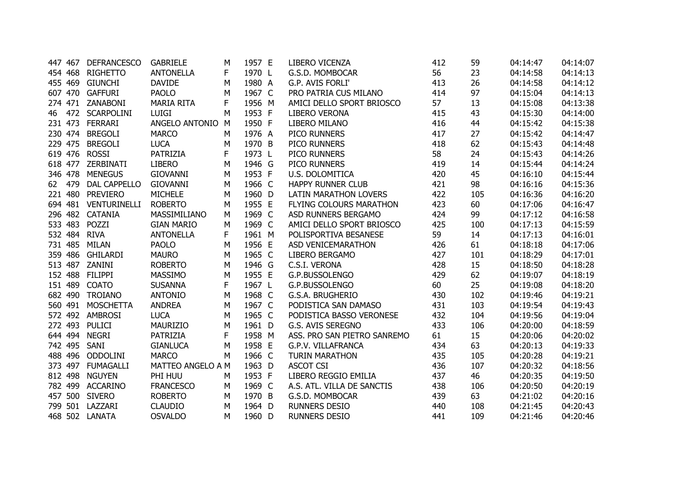|    | 447 467 | <b>DEFRANCESCO</b>   | <b>GABRIELE</b>   | м | 1957 E | LIBERO VICENZA               | 412 | 59  | 04:14:47 | 04:14:07 |
|----|---------|----------------------|-------------------|---|--------|------------------------------|-----|-----|----------|----------|
|    | 454 468 | <b>RIGHETTO</b>      | <b>ANTONELLA</b>  | F | 1970 L | G.S.D. MOMBOCAR              | 56  | 23  | 04:14:58 | 04:14:13 |
|    |         | 455 469 GIUNCHI      | <b>DAVIDE</b>     | М | 1980 A | G.P. AVIS FORLI'             | 413 | 26  | 04:14:58 | 04:14:12 |
|    |         | 607 470 GAFFURI      | <b>PAOLO</b>      | M | 1967 C | PRO PATRIA CUS MILANO        | 414 | 97  | 04:15:04 | 04:14:13 |
|    |         | 274 471 ZANABONI     | <b>MARIA RITA</b> | F | 1956 M | AMICI DELLO SPORT BRIOSCO    | 57  | 13  | 04:15:08 | 04:13:38 |
| 46 |         | 472 SCARPOLINI       | <b>LUIGI</b>      | M | 1953 F | <b>LIBERO VERONA</b>         | 415 | 43  | 04:15:30 | 04:14:00 |
|    |         | 231 473 FERRARI      | ANGELO ANTONIO    | M | 1950 F | LIBERO MILANO                | 416 | 44  | 04:15:42 | 04:15:38 |
|    | 230 474 | <b>BREGOLI</b>       | <b>MARCO</b>      | M | 1976 A | PICO RUNNERS                 | 417 | 27  | 04:15:42 | 04:14:47 |
|    | 229 475 | <b>BREGOLI</b>       | <b>LUCA</b>       | М | 1970 B | PICO RUNNERS                 | 418 | 62  | 04:15:43 | 04:14:48 |
|    |         | 619 476 ROSSI        | PATRIZIA          | F | 1973 L | PICO RUNNERS                 | 58  | 24  | 04:15:43 | 04:14:26 |
|    |         | 618 477 ZERBINATI    | <b>LIBERO</b>     | M | 1946 G | PICO RUNNERS                 | 419 | 14  | 04:15:44 | 04:14:24 |
|    | 346 478 | <b>MENEGUS</b>       | <b>GIOVANNI</b>   | M | 1953 F | U.S. DOLOMITICA              | 420 | 45  | 04:16:10 | 04:15:44 |
|    | 62 479  | <b>DAL CAPPELLO</b>  | <b>GIOVANNI</b>   | M | 1966 C | <b>HAPPY RUNNER CLUB</b>     | 421 | 98  | 04:16:16 | 04:15:36 |
|    |         | 221 480 PREVIERO     | <b>MICHELE</b>    | М | 1960 D | <b>LATIN MARATHON LOVERS</b> | 422 | 105 | 04:16:36 | 04:16:20 |
|    |         | 694 481 VENTURINELLI | <b>ROBERTO</b>    | M | 1955 E | FLYING COLOURS MARATHON      | 423 | 60  | 04:17:06 | 04:16:47 |
|    |         | 296 482 CATANIA      | MASSIMILIANO      | M | 1969 C | ASD RUNNERS BERGAMO          | 424 | 99  | 04:17:12 | 04:16:58 |
|    | 533 483 | POZZI                | <b>GIAN MARIO</b> | M | 1969 C | AMICI DELLO SPORT BRIOSCO    | 425 | 100 | 04:17:13 | 04:15:59 |
|    | 532 484 | <b>RIVA</b>          | <b>ANTONELLA</b>  | F | 1961 M | POLISPORTIVA BESANESE        | 59  | 14  | 04:17:13 | 04:16:01 |
|    | 731 485 | <b>MILAN</b>         | <b>PAOLO</b>      | Μ | 1956 E | ASD VENICEMARATHON           | 426 | 61  | 04:18:18 | 04:17:06 |
|    |         | 359 486 GHILARDI     | <b>MAURO</b>      | М | 1965 C | LIBERO BERGAMO               | 427 | 101 | 04:18:29 | 04:17:01 |
|    |         | 513 487 ZANINI       | <b>ROBERTO</b>    | М | 1946 G | C.S.I. VERONA                | 428 | 15  | 04:18:50 | 04:18:28 |
|    | 152 488 | <b>FILIPPI</b>       | MASSIMO           | M | 1955 E | G.P.BUSSOLENGO               | 429 | 62  | 04:19:07 | 04:18:19 |
|    | 151 489 | <b>COATO</b>         | <b>SUSANNA</b>    | F | 1967 L | G.P.BUSSOLENGO               | 60  | 25  | 04:19:08 | 04:18:20 |
|    |         | 682 490 TROIANO      | <b>ANTONIO</b>    | M | 1968 C | G.S.A. BRUGHERIO             | 430 | 102 | 04:19:46 | 04:19:21 |
|    |         | 560 491 MOSCHETTA    | <b>ANDREA</b>     | M | 1967 C | PODISTICA SAN DAMASO         | 431 | 103 | 04:19:54 | 04:19:43 |
|    |         | 572 492 AMBROSI      | <b>LUCA</b>       | M | 1965 C | PODISTICA BASSO VERONESE     | 432 | 104 | 04:19:56 | 04:19:04 |
|    | 272 493 | PULICI               | MAURIZIO          | M | 1961 D | G.S. AVIS SEREGNO            | 433 | 106 | 04:20:00 | 04:18:59 |
|    |         | 644 494 NEGRI        | <b>PATRIZIA</b>   | F | 1958 M | ASS. PRO SAN PIETRO SANREMO  | 61  | 15  | 04:20:06 | 04:20:02 |
|    |         | 742 495 SANI         | <b>GIANLUCA</b>   | М | 1958 E | G.P.V. VILLAFRANCA           | 434 | 63  | 04:20:13 | 04:19:33 |
|    |         | 488 496 ODDOLINI     | <b>MARCO</b>      | м | 1966 C | <b>TURIN MARATHON</b>        | 435 | 105 | 04:20:28 | 04:19:21 |
|    |         | 373 497 FUMAGALLI    | MATTEO ANGELO A M |   | 1963 D | <b>ASCOT CSI</b>             | 436 | 107 | 04:20:32 | 04:18:56 |
|    | 812 498 | <b>NGUYEN</b>        | PHI HUU           | M | 1953 F | LIBERO REGGIO EMILIA         | 437 | 46  | 04:20:35 | 04:19:50 |
|    |         | 782 499 ACCARINO     | <b>FRANCESCO</b>  | М | 1969 C | A.S. ATL. VILLA DE SANCTIS   | 438 | 106 | 04:20:50 | 04:20:19 |
|    |         | 457 500 SIVERO       | <b>ROBERTO</b>    | М | 1970 B | G.S.D. MOMBOCAR              | 439 | 63  | 04:21:02 | 04:20:16 |
|    |         | 799 501 LAZZARI      | <b>CLAUDIO</b>    | M | 1964 D | <b>RUNNERS DESIO</b>         | 440 | 108 | 04:21:45 | 04:20:43 |
|    |         | 468 502 LANATA       | <b>OSVALDO</b>    | м | 1960 D | <b>RUNNERS DESIO</b>         | 441 | 109 | 04:21:46 | 04:20:46 |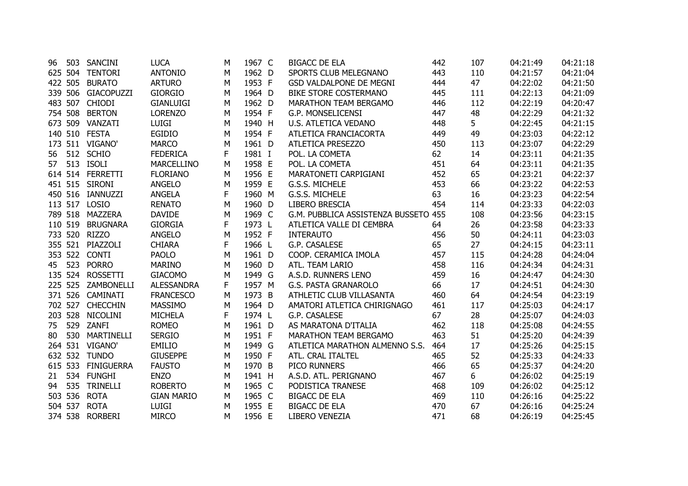| 96 | 503     | SANCINI            | <b>LUCA</b>       | м | 1967 C | <b>BIGACC DE ELA</b>                 | 442 | 107 | 04:21:49 | 04:21:18 |
|----|---------|--------------------|-------------------|---|--------|--------------------------------------|-----|-----|----------|----------|
|    |         | 625 504 TENTORI    | <b>ANTONIO</b>    | M | 1962 D | SPORTS CLUB MELEGNANO                | 443 | 110 | 04:21:57 | 04:21:04 |
|    | 422 505 | <b>BURATO</b>      | <b>ARTURO</b>     | М | 1953 F | GSD VALDALPONE DE MEGNI              | 444 | 47  | 04:22:02 | 04:21:50 |
|    | 339 506 | GIACOPUZZI         | <b>GIORGIO</b>    | M | 1964 D | <b>BIKE STORE COSTERMANO</b>         | 445 | 111 | 04:22:13 | 04:21:09 |
|    | 483 507 | <b>CHIODI</b>      | <b>GIANLUIGI</b>  | М | 1962 D | <b>MARATHON TEAM BERGAMO</b>         | 446 | 112 | 04:22:19 | 04:20:47 |
|    | 754 508 | <b>BERTON</b>      | <b>LORENZO</b>    | M | 1954 F | G.P. MONSELICENSI                    | 447 | 48  | 04:22:29 | 04:21:32 |
|    |         | 673 509 VANZATI    | LUIGI             | М | 1940 H | U.S. ATLETICA VEDANO                 | 448 | 5   | 04:22:45 | 04:21:15 |
|    |         | 140 510 FESTA      | <b>EGIDIO</b>     | M | 1954 F | ATLETICA FRANCIACORTA                | 449 | 49  | 04:23:03 | 04:22:12 |
|    |         | 173 511 VIGANO'    | <b>MARCO</b>      | М | 1961 D | ATLETICA PRESEZZO                    | 450 | 113 | 04:23:07 | 04:22:29 |
|    |         | 56 512 SCHIO       | <b>FEDERICA</b>   | F | 1981 I | POL. LA COMETA                       | 62  | 14  | 04:23:11 | 04:21:35 |
|    |         | 57    513    ISOLI | MARCELLINO        | M | 1958 E | POL. LA COMETA                       | 451 | 64  | 04:23:11 | 04:21:35 |
|    |         | 614 514 FERRETTI   | <b>FLORIANO</b>   | Μ | 1956 E | MARATONETI CARPIGIANI                | 452 | 65  | 04:23:21 | 04:22:37 |
|    |         | 451 515 SIRONI     | <b>ANGELO</b>     | M | 1959 E | G.S.S. MICHELE                       | 453 | 66  | 04:23:22 | 04:22:53 |
|    |         | 450 516 IANNUZZI   | <b>ANGELA</b>     | F | 1960 M | G.S.S. MICHELE                       | 63  | 16  | 04:23:23 | 04:22:54 |
|    |         | 113 517 LOSIO      | <b>RENATO</b>     | М | 1960 D | LIBERO BRESCIA                       | 454 | 114 | 04:23:33 | 04:22:03 |
|    | 789 518 | MAZZERA            | <b>DAVIDE</b>     | M | 1969 C | G.M. PUBBLICA ASSISTENZA BUSSETO 455 |     | 108 | 04:23:56 | 04:23:15 |
|    | 110 519 | <b>BRUGNARA</b>    | <b>GIORGIA</b>    | F | 1973 L | ATLETICA VALLE DI CEMBRA             | 64  | 26  | 04:23:58 | 04:23:33 |
|    |         | 733 520 RIZZO      | <b>ANGELO</b>     | M | 1952 F | <b>INTERAUTO</b>                     | 456 | 50  | 04:24:11 | 04:23:03 |
|    |         | 355 521 PIAZZOLI   | <b>CHIARA</b>     | F | 1966 L | G.P. CASALESE                        | 65  | 27  | 04:24:15 | 04:23:11 |
|    |         | 353 522 CONTI      | <b>PAOLO</b>      | М | 1961 D | COOP. CERAMICA IMOLA                 | 457 | 115 | 04:24:28 | 04:24:04 |
| 45 | 523     | <b>PORRO</b>       | <b>MARINO</b>     | M | 1960 D | ATL. TEAM LARIO                      | 458 | 116 | 04:24:34 | 04:24:31 |
|    |         | 135 524 ROSSETTI   | <b>GIACOMO</b>    | M | 1949 G | A.S.D. RUNNERS LENO                  | 459 | 16  | 04:24:47 | 04:24:30 |
|    |         | 225 525 ZAMBONELLI | <b>ALESSANDRA</b> | F | 1957 M | <b>G.S. PASTA GRANAROLO</b>          | 66  | 17  | 04:24:51 | 04:24:30 |
|    |         | 371 526 CAMINATI   | <b>FRANCESCO</b>  | Μ | 1973 B | ATHLETIC CLUB VILLASANTA             | 460 | 64  | 04:24:54 | 04:23:19 |
|    |         | 702 527 CHECCHIN   | <b>MASSIMO</b>    | M | 1964 D | AMATORI ATLETICA CHIRIGNAGO          | 461 | 117 | 04:25:03 | 04:24:17 |
|    |         | 203 528 NICOLINI   | <b>MICHELA</b>    | F | 1974 L | G.P. CASALESE                        | 67  | 28  | 04:25:07 | 04:24:03 |
| 75 |         | 529 ZANFI          | <b>ROMEO</b>      | M | 1961 D | AS MARATONA D'ITALIA                 | 462 | 118 | 04:25:08 | 04:24:55 |
| 80 | 530     | MARTINELLI         | <b>SERGIO</b>     | M | 1951 F | <b>MARATHON TEAM BERGAMO</b>         | 463 | 51  | 04:25:20 | 04:24:39 |
|    |         | 264 531 VIGANO'    | <b>EMILIO</b>     | M | 1949 G | ATLETICA MARATHON ALMENNO S.S.       | 464 | 17  | 04:25:26 | 04:25:15 |
|    |         | 632 532 TUNDO      | <b>GIUSEPPE</b>   | M | 1950 F | ATL. CRAL ITALTEL                    | 465 | 52  | 04:25:33 | 04:24:33 |
|    |         | 615 533 FINIGUERRA | <b>FAUSTO</b>     | М | 1970 B | PICO RUNNERS                         | 466 | 65  | 04:25:37 | 04:24:20 |
| 21 |         | 534 FUNGHI         | <b>ENZO</b>       | М | 1941 H | A.S.D. ATL. PERIGNANO                | 467 | 6.  | 04:26:02 | 04:25:19 |
| 94 |         | 535 TRINELLI       | <b>ROBERTO</b>    | M | 1965 C | PODISTICA TRANESE                    | 468 | 109 | 04:26:02 | 04:25:12 |
|    |         | 503 536 ROTA       | <b>GIAN MARIO</b> | M | 1965 C | <b>BIGACC DE ELA</b>                 | 469 | 110 | 04:26:16 | 04:25:22 |
|    |         | 504 537 ROTA       | <b>LUIGI</b>      | Μ | 1955 E | <b>BIGACC DE ELA</b>                 | 470 | 67  | 04:26:16 | 04:25:24 |
|    | 374 538 | RORBERI            | <b>MIRCO</b>      | Μ | 1956 E | LIBERO VENEZIA                       | 471 | 68  | 04:26:19 | 04:25:45 |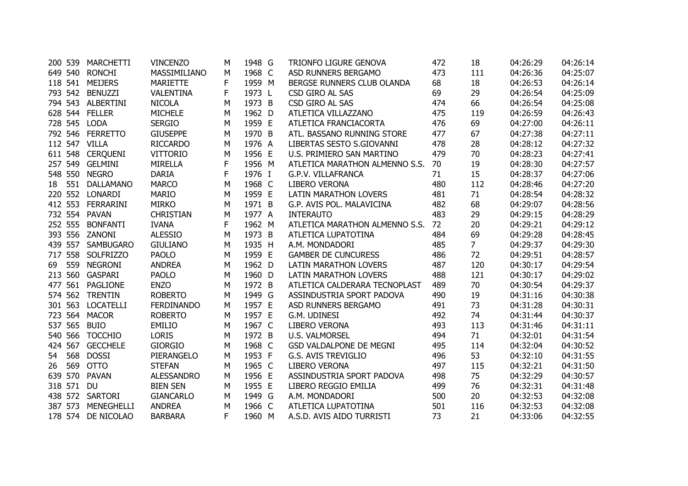|    | 200 539 | <b>MARCHETTI</b>   | <b>VINCENZO</b>   | М | 1948 G | TRIONFO LIGURE GENOVA             | 472 | 18             | 04:26:29 | 04:26:14 |
|----|---------|--------------------|-------------------|---|--------|-----------------------------------|-----|----------------|----------|----------|
|    |         | 649 540 RONCHI     | MASSIMILIANO      | M | 1968 C | ASD RUNNERS BERGAMO               | 473 | 111            | 04:26:36 | 04:25:07 |
|    |         | 118 541 MEIJERS    | <b>MARIETTE</b>   | F | 1959 M | BERGSE RUNNERS CLUB OLANDA        | 68  | 18             | 04:26:53 | 04:26:14 |
|    |         | 793 542 BENUZZI    | <b>VALENTINA</b>  | F | 1973 L | CSD GIRO AL SAS                   | 69  | 29             | 04:26:54 | 04:25:09 |
|    |         | 794 543 ALBERTINI  | <b>NICOLA</b>     | M | 1973 B | CSD GIRO AL SAS                   | 474 | 66             | 04:26:54 | 04:25:08 |
|    |         | 628 544 FELLER     | <b>MICHELE</b>    | M | 1962 D | ATLETICA VILLAZZANO               | 475 | 119            | 04:26:59 | 04:26:43 |
|    |         | 728 545 LODA       | <b>SERGIO</b>     | М | 1959 E | ATLETICA FRANCIACORTA             | 476 | 69             | 04:27:00 | 04:26:11 |
|    |         | 792 546 FERRETTO   | <b>GIUSEPPE</b>   | M | 1970 B | ATL. BASSANO RUNNING STORE        | 477 | 67             | 04:27:38 | 04:27:11 |
|    |         | 112 547 VILLA      | <b>RICCARDO</b>   | M | 1976 A | LIBERTAS SESTO S.GIOVANNI         | 478 | 28             | 04:28:12 | 04:27:32 |
|    |         | 611 548 CERQUENI   | <b>VITTORIO</b>   | M | 1956 E | U.S. PRIMIERO SAN MARTINO         | 479 | 70             | 04:28:23 | 04:27:41 |
|    |         | 257 549 GELMINI    | <b>MIRELLA</b>    | F | 1956 M | ATLETICA MARATHON ALMENNO S.S. 70 |     | 19             | 04:28:30 | 04:27:57 |
|    |         | 548 550 NEGRO      | <b>DARIA</b>      | F | 1976 I | G.P.V. VILLAFRANCA                | 71  | 15             | 04:28:37 | 04:27:06 |
|    |         | 18 551 DALLAMANO   | <b>MARCO</b>      | M | 1968 C | <b>LIBERO VERONA</b>              | 480 | 112            | 04:28:46 | 04:27:20 |
|    |         | 220 552 LONARDI    | <b>MARIO</b>      | M | 1959 E | <b>LATIN MARATHON LOVERS</b>      | 481 | 71             | 04:28:54 | 04:28:32 |
|    |         | 412 553 FERRARINI  | <b>MIRKO</b>      | M | 1971 B | G.P. AVIS POL. MALAVICINA         | 482 | 68             | 04:29:07 | 04:28:56 |
|    |         | 732 554 PAVAN      | <b>CHRISTIAN</b>  | M | 1977 A | <b>INTERAUTO</b>                  | 483 | 29             | 04:29:15 | 04:28:29 |
|    | 252 555 | <b>BONFANTI</b>    | <b>IVANA</b>      | F | 1962 M | ATLETICA MARATHON ALMENNO S.S.    | 72  | 20             | 04:29:21 | 04:29:12 |
|    |         | 393 556 ZANONI     | <b>ALESSIO</b>    | M | 1973 B | ATLETICA LUPATOTINA               | 484 | 69             | 04:29:28 | 04:28:45 |
|    |         | 439 557 SAMBUGARO  | <b>GIULIANO</b>   | M | 1935 H | A.M. MONDADORI                    | 485 | $\overline{7}$ | 04:29:37 | 04:29:30 |
|    |         | 717 558 SOLFRIZZO  | <b>PAOLO</b>      | М | 1959 E | <b>GAMBER DE CUNCURESS</b>        | 486 | 72             | 04:29:51 | 04:28:57 |
| 69 |         | 559 NEGRONI        | <b>ANDREA</b>     | M | 1962 D | <b>LATIN MARATHON LOVERS</b>      | 487 | 120            | 04:30:17 | 04:29:54 |
|    | 213 560 | GASPARI            | <b>PAOLO</b>      | М | 1960 D | <b>LATIN MARATHON LOVERS</b>      | 488 | 121            | 04:30:17 | 04:29:02 |
|    |         | 477 561 PAGLIONE   | <b>ENZO</b>       | M | 1972 B | ATLETICA CALDERARA TECNOPLAST     | 489 | 70             | 04:30:54 | 04:29:37 |
|    |         | 574 562 TRENTIN    | <b>ROBERTO</b>    | M | 1949 G | ASSINDUSTRIA SPORT PADOVA         | 490 | 19             | 04:31:16 | 04:30:38 |
|    |         | 301 563 LOCATELLI  | <b>FERDINANDO</b> | M | 1957 E | ASD RUNNERS BERGAMO               | 491 | 73             | 04:31:28 | 04:30:31 |
|    |         | 723 564 MACOR      | <b>ROBERTO</b>    | M | 1957 E | G.M. UDINESI                      | 492 | 74             | 04:31:44 | 04:30:37 |
|    | 537 565 | <b>BUIO</b>        | <b>EMILIO</b>     | M | 1967 C | <b>LIBERO VERONA</b>              | 493 | 113            | 04:31:46 | 04:31:11 |
|    | 540 566 | <b>TOCCHIO</b>     | <b>LORIS</b>      | M | 1972 B | <b>U.S. VALMORSEL</b>             | 494 | 71             | 04:32:01 | 04:31:54 |
|    | 424 567 | <b>GECCHELE</b>    | <b>GIORGIO</b>    | M | 1968 C | GSD VALDALPONE DE MEGNI           | 495 | 114            | 04:32:04 | 04:30:52 |
| 54 | 568     | <b>DOSSI</b>       | PIERANGELO        | M | 1953 F | <b>G.S. AVIS TREVIGLIO</b>        | 496 | 53             | 04:32:10 | 04:31:55 |
| 26 | 569     | <b>OTTO</b>        | <b>STEFAN</b>     | M | 1965 C | <b>LIBERO VERONA</b>              | 497 | 115            | 04:32:21 | 04:31:50 |
|    |         | 639 570 PAVAN      | ALESSANDRO        | M | 1956 E | ASSINDUSTRIA SPORT PADOVA         | 498 | 75             | 04:32:29 | 04:30:57 |
|    | 318 571 | <b>DU</b>          | <b>BIEN SEN</b>   | M | 1955 E | LIBERO REGGIO EMILIA              | 499 | 76             | 04:32:31 | 04:31:48 |
|    |         | 438 572 SARTORI    | <b>GIANCARLO</b>  | M | 1949 G | A.M. MONDADORI                    | 500 | 20             | 04:32:53 | 04:32:08 |
|    |         | 387 573 MENEGHELLI | <b>ANDREA</b>     | M | 1966 C | ATLETICA LUPATOTINA               | 501 | 116            | 04:32:53 | 04:32:08 |
|    |         | 178 574 DE NICOLAO | <b>BARBARA</b>    | F | 1960 M | A.S.D. AVIS AIDO TURRISTI         | 73  | 21             | 04:33:06 | 04:32:55 |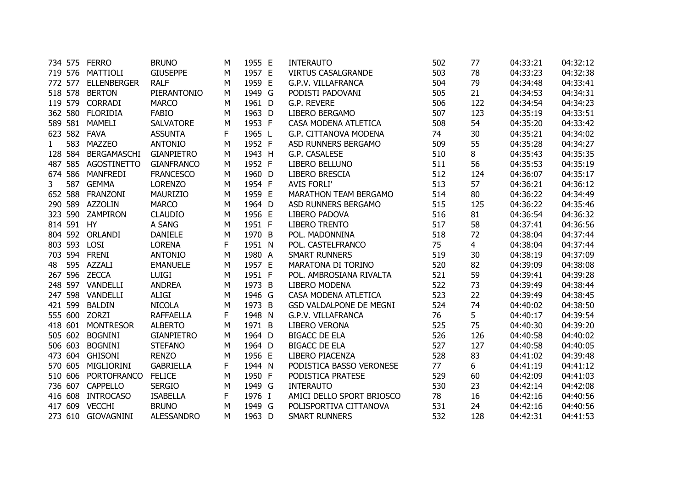|              |         | 734 575 FERRO       | <b>BRUNO</b>      | м | 1955 E | <b>INTERAUTO</b>               | 502 | 77             | 04:33:21 | 04:32:12 |
|--------------|---------|---------------------|-------------------|---|--------|--------------------------------|-----|----------------|----------|----------|
|              |         | 719 576 MATTIOLI    | <b>GIUSEPPE</b>   | м | 1957 E | <b>VIRTUS CASALGRANDE</b>      | 503 | 78             | 04:33:23 | 04:32:38 |
|              |         | 772 577 ELLENBERGER | <b>RALF</b>       | M | 1959 E | G.P.V. VILLAFRANCA             | 504 | 79             | 04:34:48 | 04:33:41 |
|              | 518 578 | <b>BERTON</b>       | PIERANTONIO       | M | 1949 G | PODISTI PADOVANI               | 505 | 21             | 04:34:53 | 04:34:31 |
|              | 119 579 | <b>CORRADI</b>      | <b>MARCO</b>      | M | 1961 D | G.P. REVERE                    | 506 | 122            | 04:34:54 | 04:34:23 |
|              | 362 580 | <b>FLORIDIA</b>     | <b>FABIO</b>      | м | 1963 D | <b>LIBERO BERGAMO</b>          | 507 | 123            | 04:35:19 | 04:33:51 |
|              | 589 581 | MAMELI              | <b>SALVATORE</b>  | Μ | 1953 F | CASA MODENA ATLETICA           | 508 | 54             | 04:35:20 | 04:33:42 |
|              |         | 623 582 FAVA        | <b>ASSUNTA</b>    | F | 1965 L | G.P. CITTANOVA MODENA          | 74  | 30             | 04:35:21 | 04:34:02 |
| $\mathbf{1}$ | 583     | MAZZEO              | <b>ANTONIO</b>    | м | 1952 F | ASD RUNNERS BERGAMO            | 509 | 55             | 04:35:28 | 04:34:27 |
|              | 128 584 | BERGAMASCHI         | <b>GIANPIETRO</b> | М | 1943 H | G.P. CASALESE                  | 510 | 8              | 04:35:43 | 04:35:35 |
|              | 487 585 | AGOSTINETTO         | <b>GIANFRANCO</b> | м | 1952 F | LIBERO BELLUNO                 | 511 | 56             | 04:35:53 | 04:35:19 |
|              |         | 674 586 MANFREDI    | <b>FRANCESCO</b>  | М | 1960 D | <b>LIBERO BRESCIA</b>          | 512 | 124            | 04:36:07 | 04:35:17 |
| 3            | 587     | <b>GEMMA</b>        | <b>LORENZO</b>    | М | 1954 F | <b>AVIS FORLI'</b>             | 513 | 57             | 04:36:21 | 04:36:12 |
|              | 652 588 | <b>FRANZONI</b>     | <b>MAURIZIO</b>   | М | 1959 E | <b>MARATHON TEAM BERGAMO</b>   | 514 | 80             | 04:36:22 | 04:34:49 |
|              | 290 589 | <b>AZZOLIN</b>      | <b>MARCO</b>      | M | 1964 D | ASD RUNNERS BERGAMO            | 515 | 125            | 04:36:22 | 04:35:46 |
|              | 323 590 | ZAMPIRON            | <b>CLAUDIO</b>    | M | 1956 E | LIBERO PADOVA                  | 516 | 81             | 04:36:54 | 04:36:32 |
|              | 814 591 | HY                  | A SANG            | М | 1951 F | <b>LIBERO TRENTO</b>           | 517 | 58             | 04:37:41 | 04:36:56 |
|              | 804 592 | ORLANDI             | <b>DANIELE</b>    | Μ | 1970 B | POL. MADONNINA                 | 518 | 72             | 04:38:04 | 04:37:44 |
|              | 803 593 | <b>LOSI</b>         | <b>LORENA</b>     | F | 1951 N | POL. CASTELFRANCO              | 75  | $\overline{4}$ | 04:38:04 | 04:37:44 |
|              |         | 703 594 FRENI       | <b>ANTONIO</b>    | м | 1980 A | <b>SMART RUNNERS</b>           | 519 | 30             | 04:38:19 | 04:37:09 |
| 48           |         | 595 AZZALI          | <b>EMANUELE</b>   | M | 1957 E | MARATONA DI TORINO             | 520 | 82             | 04:39:09 | 04:38:08 |
|              |         | 267 596 ZECCA       | <b>LUIGI</b>      | M | 1951 F | POL. AMBROSIANA RIVALTA        | 521 | 59             | 04:39:41 | 04:39:28 |
|              |         | 248 597 VANDELLI    | <b>ANDREA</b>     | м | 1973 B | <b>LIBERO MODENA</b>           | 522 | 73             | 04:39:49 | 04:38:44 |
|              |         | 247 598 VANDELLI    | <b>ALIGI</b>      | Μ | 1946 G | CASA MODENA ATLETICA           | 523 | 22             | 04:39:49 | 04:38:45 |
|              | 421 599 | <b>BALDIN</b>       | <b>NICOLA</b>     | Μ | 1973 B | <b>GSD VALDALPONE DE MEGNI</b> | 524 | 74             | 04:40:02 | 04:38:50 |
|              |         | 555 600 ZORZI       | <b>RAFFAELLA</b>  | F | 1948 N | G.P.V. VILLAFRANCA             | 76  | 5              | 04:40:17 | 04:39:54 |
|              | 418 601 | <b>MONTRESOR</b>    | <b>ALBERTO</b>    | M | 1971 B | <b>LIBERO VERONA</b>           | 525 | 75             | 04:40:30 | 04:39:20 |
|              | 505 602 | <b>BOGNINI</b>      | <b>GIANPIETRO</b> | M | 1964 D | <b>BIGACC DE ELA</b>           | 526 | 126            | 04:40:58 | 04:40:02 |
|              | 506 603 | <b>BOGNINI</b>      | <b>STEFANO</b>    | M | 1964 D | <b>BIGACC DE ELA</b>           | 527 | 127            | 04:40:58 | 04:40:05 |
|              | 473 604 | <b>GHISONI</b>      | <b>RENZO</b>      | M | 1956 E | LIBERO PIACENZA                | 528 | 83             | 04:41:02 | 04:39:48 |
|              | 570 605 | MIGLIORINI          | <b>GABRIELLA</b>  | F | 1944 N | PODISTICA BASSO VERONESE       | 77  | 6.             | 04:41:19 | 04:41:12 |
|              | 510 606 | <b>PORTOFRANCO</b>  | <b>FELICE</b>     | м | 1950 F | PODISTICA PRATESE              | 529 | 60             | 04:42:09 | 04:41:03 |
|              | 736 607 | <b>CAPPELLO</b>     | <b>SERGIO</b>     | М | 1949 G | <b>INTERAUTO</b>               | 530 | 23             | 04:42:14 | 04:42:08 |
|              | 416 608 | <b>INTROCASO</b>    | <b>ISABELLA</b>   | F | 1976 I | AMICI DELLO SPORT BRIOSCO      | 78  | 16             | 04:42:16 | 04:40:56 |
|              | 417 609 | <b>VECCHI</b>       | <b>BRUNO</b>      | M | 1949 G | POLISPORTIVA CITTANOVA         | 531 | 24             | 04:42:16 | 04:40:56 |
|              |         | 273 610 GIOVAGNINI  | <b>ALESSANDRO</b> | м | 1963 D | <b>SMART RUNNERS</b>           | 532 | 128            | 04:42:31 | 04:41:53 |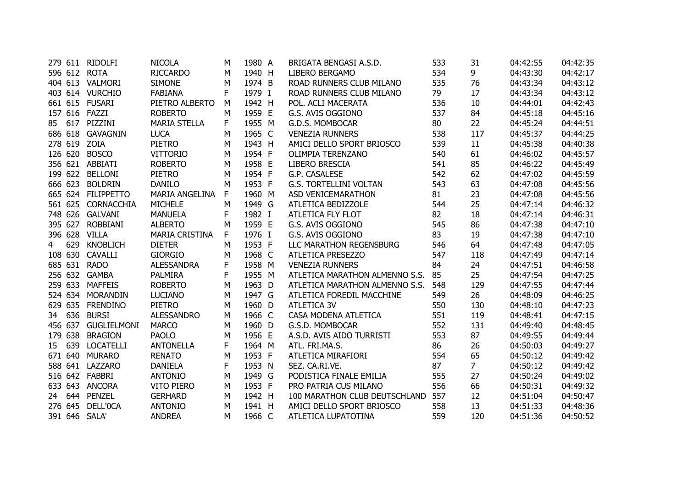|                 |         | 279 611 RIDOLFI     | <b>NICOLA</b>         | M            | 1980 A | BRIGATA BENGASI A.S.D.         | 533 | 31             | 04:42:55 | 04:42:35 |
|-----------------|---------|---------------------|-----------------------|--------------|--------|--------------------------------|-----|----------------|----------|----------|
|                 |         | 596 612 ROTA        | RICCARDO              | M            | 1940 H | LIBERO BERGAMO                 | 534 | 9              | 04:43:30 | 04:42:17 |
|                 |         | 404 613 VALMORI     | <b>SIMONE</b>         | M            | 1974 B | ROAD RUNNERS CLUB MILANO       | 535 | 76             | 04:43:34 | 04:43:12 |
|                 |         | 403 614 VURCHIO     | <b>FABIANA</b>        | F            | 1979 I | ROAD RUNNERS CLUB MILANO       | 79  | 17             | 04:43:34 | 04:43:12 |
|                 |         | 661 615 FUSARI      | PIETRO ALBERTO        | M            | 1942 H | POL. ACLI MACERATA             | 536 | 10             | 04:44:01 | 04:42:43 |
|                 |         | 157 616 FAZZI       | <b>ROBERTO</b>        | M            | 1959 E | G.S. AVIS OGGIONO              | 537 | 84             | 04:45:18 | 04:45:16 |
|                 |         | 85 617 PIZZINI      | <b>MARIA STELLA</b>   | F.           | 1955 M | G.D.S. MOMBOCAR                | 80  | 22             | 04:45:24 | 04:44:51 |
|                 |         | 686 618 GAVAGNIN    | <b>LUCA</b>           | M            | 1965 C | <b>VENEZIA RUNNERS</b>         | 538 | 117            | 04:45:37 | 04:44:25 |
|                 |         | 278 619 ZOIA        | <b>PIETRO</b>         | M            | 1943 H | AMICI DELLO SPORT BRIOSCO      | 539 | 11             | 04:45:38 | 04:40:38 |
|                 |         | 126 620 BOSCO       | <b>VITTORIO</b>       | M            | 1954 F | OLIMPIA TERENZANO              | 540 | 61             | 04:46:02 | 04:45:57 |
|                 |         | 356 621 ABBIATI     | <b>ROBERTO</b>        | M            | 1958 E | LIBERO BRESCIA                 | 541 | 85             | 04:46:22 | 04:45:49 |
|                 |         | 199 622 BELLONI     | <b>PIETRO</b>         | M            | 1954 F | G.P. CASALESE                  | 542 | 62             | 04:47:02 | 04:45:59 |
|                 |         | 666 623 BOLDRIN     | <b>DANILO</b>         | M            | 1953 F | <b>G.S. TORTELLINI VOLTAN</b>  | 543 | 63             | 04:47:08 | 04:45:56 |
|                 |         | 665 624 FILIPPETTO  | <b>MARIA ANGELINA</b> | $\mathsf{F}$ | 1960 M | ASD VENICEMARATHON             | 81  | 23             | 04:47:08 | 04:45:56 |
|                 |         | 561 625 CORNACCHIA  | <b>MICHELE</b>        | M            | 1949 G | ATLETICA BEDIZZOLE             | 544 | 25             | 04:47:14 | 04:46:32 |
|                 |         | 748 626 GALVANI     | <b>MANUELA</b>        | F            | 1982 I | ATLETICA FLY FLOT              | 82  | 18             | 04:47:14 | 04:46:31 |
|                 |         | 395 627 ROBBIANI    | <b>ALBERTO</b>        | M            | 1959 E | G.S. AVIS OGGIONO              | 545 | 86             | 04:47:38 | 04:47:10 |
|                 |         | 396 628 VILLA       | <b>MARIA CRISTINA</b> | F            | 1976 I | G.S. AVIS OGGIONO              | 83  | 19             | 04:47:38 | 04:47:10 |
| 4               | 629     | <b>KNOBLICH</b>     | <b>DIETER</b>         | M            | 1953 F | LLC MARATHON REGENSBURG        | 546 | 64             | 04:47:48 | 04:47:05 |
|                 |         | 108 630 CAVALLI     | <b>GIORGIO</b>        | M            | 1968 C | ATLETICA PRESEZZO              | 547 | 118            | 04:47:49 | 04:47:14 |
|                 |         | 685 631 RADO        | <b>ALESSANDRA</b>     | F            | 1958 M | <b>VENEZIA RUNNERS</b>         | 84  | 24             | 04:47:51 | 04:46:58 |
|                 |         | 256 632 GAMBA       | <b>PALMIRA</b>        | $\mathsf{F}$ | 1955 M | ATLETICA MARATHON ALMENNO S.S. | 85  | 25             | 04:47:54 | 04:47:25 |
|                 |         | 259 633 MAFFEIS     | <b>ROBERTO</b>        | M            | 1963 D | ATLETICA MARATHON ALMENNO S.S. | 548 | 129            | 04:47:55 | 04:47:44 |
|                 |         | 524 634 MORANDIN    | <b>LUCIANO</b>        | M            | 1947 G | ATLETICA FOREDIL MACCHINE      | 549 | 26             | 04:48:09 | 04:46:25 |
|                 |         | 629 635 FRENDINO    | <b>PIETRO</b>         | M            | 1960 D | <b>ATLETICA 3V</b>             | 550 | 130            | 04:48:10 | 04:47:23 |
|                 | 34 636  | <b>BURSI</b>        | <b>ALESSANDRO</b>     | M            | 1966 C | CASA MODENA ATLETICA           | 551 | 119            | 04:48:41 | 04:47:15 |
|                 |         | 456 637 GUGLIELMONI | <b>MARCO</b>          | M            | 1960 D | G.S.D. MOMBOCAR                | 552 | 131            | 04:49:40 | 04:48:45 |
|                 | 179 638 | <b>BRAGION</b>      | <b>PAOLO</b>          | M            | 1956 E | A.S.D. AVIS AIDO TURRISTI      | 553 | 87             | 04:49:55 | 04:49:44 |
| 15 <sub>1</sub> | 639     | <b>LOCATELLI</b>    | <b>ANTONELLA</b>      | F            | 1964 M | ATL. FRI.MA.S.                 | 86  | 26             | 04:50:03 | 04:49:27 |
|                 | 671 640 | <b>MURARO</b>       | <b>RENATO</b>         | M            | 1953 F | ATLETICA MIRAFIORI             | 554 | 65             | 04:50:12 | 04:49:42 |
|                 |         | 588 641 LAZZARO     | <b>DANIELA</b>        | F            | 1953 N | SEZ. CA.RI.VE.                 | 87  | 7 <sup>1</sup> | 04:50:12 | 04:49:42 |
|                 |         | 516 642 FABBRI      | <b>ANTONIO</b>        | M            | 1949 G | PODISTICA FINALE EMILIA        | 555 | 27             | 04:50:24 | 04:49:02 |
|                 |         | 633 643 ANCORA      | <b>VITO PIERO</b>     | M            | 1953 F | PRO PATRIA CUS MILANO          | 556 | 66             | 04:50:31 | 04:49:32 |
|                 |         | 24 644 PENZEL       | <b>GERHARD</b>        | M            | 1942 H | 100 MARATHON CLUB DEUTSCHLAND  | 557 | 12             | 04:51:04 | 04:50:47 |
|                 |         | 276 645 DELL'0CA    | <b>ANTONIO</b>        | M            | 1941 H | AMICI DELLO SPORT BRIOSCO      | 558 | 13             | 04:51:33 | 04:48:36 |
|                 |         | 391 646 SALA'       | <b>ANDREA</b>         | M            | 1966 C | ATLETICA LUPATOTINA            | 559 | 120            | 04:51:36 | 04:50:52 |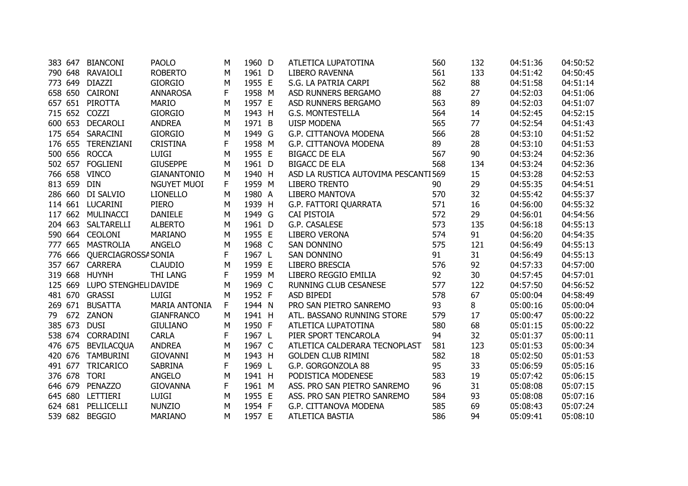| 383 647 | <b>BIANCONI</b>               | <b>PAOLO</b>         | M         | 1960 D | ATLETICA LUPATOTINA                  | 560 | 132 | 04:51:36 | 04:50:52 |
|---------|-------------------------------|----------------------|-----------|--------|--------------------------------------|-----|-----|----------|----------|
|         | 790 648 RAVAIOLI              | <b>ROBERTO</b>       | M         | 1961 D | <b>LIBERO RAVENNA</b>                | 561 | 133 | 04:51:42 | 04:50:45 |
| 773 649 | DIAZZI                        | <b>GIORGIO</b>       | M         | 1955 E | S.G. LA PATRIA CARPI                 | 562 | 88  | 04:51:58 | 04:51:14 |
|         | 658 650 CAIRONI               | <b>ANNAROSA</b>      | F         | 1958 M | ASD RUNNERS BERGAMO                  | 88  | 27  | 04:52:03 | 04:51:06 |
|         | 657 651 PIROTTA               | <b>MARIO</b>         | M         | 1957 E | ASD RUNNERS BERGAMO                  | 563 | 89  | 04:52:03 | 04:51:07 |
| 715 652 | COZZI                         | <b>GIORGIO</b>       | M         | 1943 H | <b>G.S. MONTESTELLA</b>              | 564 | 14  | 04:52:45 | 04:52:15 |
| 600 653 | <b>DECAROLI</b>               | <b>ANDREA</b>        | M         | 1971 B | <b>UISP MODENA</b>                   | 565 | 77  | 04:52:54 | 04:51:43 |
|         | 175 654 SARACINI              | <b>GIORGIO</b>       | M         | 1949 G | G.P. CITTANOVA MODENA                | 566 | 28  | 04:53:10 | 04:51:52 |
|         | 176 655 TERENZIANI            | <b>CRISTINA</b>      | F         | 1958 M | G.P. CITTANOVA MODENA                | 89  | 28  | 04:53:10 | 04:51:53 |
|         | 500 656 ROCCA                 | <b>LUIGI</b>         | M         | 1955 E | <b>BIGACC DE ELA</b>                 | 567 | 90  | 04:53:24 | 04:52:36 |
|         | 502 657 FOGLIENI              | <b>GIUSEPPE</b>      | M         | 1961 D | <b>BIGACC DE ELA</b>                 | 568 | 134 | 04:53:24 | 04:52:36 |
|         | 766 658 VINCO                 | <b>GIANANTONIO</b>   | M         | 1940 H | ASD LA RUSTICA AUTOVIMA PESCANTI 569 |     | 15  | 04:53:28 | 04:52:53 |
| 813 659 | <b>DIN</b>                    | NGUYET MUOI          | F         | 1959 M | <b>LIBERO TRENTO</b>                 | 90  | 29  | 04:55:35 | 04:54:51 |
|         | 286 660 DI SALVIO             | <b>LIONELLO</b>      | M         | 1980 A | <b>LIBERO MANTOVA</b>                | 570 | 32  | 04:55:42 | 04:55:37 |
|         | 114 661 LUCARINI              | <b>PIERO</b>         | M         | 1939 H | G.P. FATTORI QUARRATA                | 571 | 16  | 04:56:00 | 04:55:32 |
|         | 117 662 MULINACCI             | <b>DANIELE</b>       | M         | 1949 G | CAI PISTOIA                          | 572 | 29  | 04:56:01 | 04:54:56 |
|         | 204 663 SALTARELLI            | <b>ALBERTO</b>       | M         | 1961 D | G.P. CASALESE                        | 573 | 135 | 04:56:18 | 04:55:13 |
|         | 590 664 CEOLONI               | <b>MARIANO</b>       | M         | 1955 E | LIBERO VERONA                        | 574 | 91  | 04:56:20 | 04:54:35 |
|         | 777 665 MASTROLIA             | ANGELO               | M         | 1968 C | SAN DONNINO                          | 575 | 121 | 04:56:49 | 04:55:13 |
|         | 776 666 QUERCIAGROSSA SONIA   |                      | F         | 1967 L | <b>SAN DONNINO</b>                   | 91  | 31  | 04:56:49 | 04:55:13 |
|         | 357 667 CARRERA               | <b>CLAUDIO</b>       | M         | 1959 E | LIBERO BRESCIA                       | 576 | 92  | 04:57:33 | 04:57:00 |
|         | 319 668 HUYNH                 | <b>THI LANG</b>      | F         | 1959 M | LIBERO REGGIO EMILIA                 | 92  | 30  | 04:57:45 | 04:57:01 |
|         | 125 669 LUPO STENGHELI DAVIDE |                      | M         | 1969 C | <b>RUNNING CLUB CESANESE</b>         | 577 | 122 | 04:57:50 | 04:56:52 |
|         | 481 670 GRASSI                | <b>LUIGI</b>         | M         | 1952 F | ASD BIPEDI                           | 578 | 67  | 05:00:04 | 04:58:49 |
|         | 269 671 BUSATTA               | <b>MARIA ANTONIA</b> | F         | 1944 N | PRO SAN PIETRO SANREMO               | 93  | 8   | 05:00:16 | 05:00:04 |
|         | 79 672 ZANON                  | <b>GIANFRANCO</b>    | M         | 1941 H | ATL. BASSANO RUNNING STORE           | 579 | 17  | 05:00:47 | 05:00:22 |
|         | 385 673 DUSI                  | <b>GIULIANO</b>      | ${\sf M}$ | 1950 F | ATLETICA LUPATOTINA                  | 580 | 68  | 05:01:15 | 05:00:22 |
|         | 538 674 CORRADINI             | <b>CARLA</b>         | F         | 1967 L | PIER SPORT TENCAROLA                 | 94  | 32  | 05:01:37 | 05:00:11 |
|         | 476 675 BEVILACQUA            | <b>ANDREA</b>        | M         | 1967 C | ATLETICA CALDERARA TECNOPLAST        | 581 | 123 | 05:01:53 | 05:00:34 |
|         | 420 676 TAMBURINI             | <b>GIOVANNI</b>      | M         | 1943 H | <b>GOLDEN CLUB RIMINI</b>            | 582 | 18  | 05:02:50 | 05:01:53 |
|         | 491 677 TRICARICO             | <b>SABRINA</b>       | F         | 1969 L | G.P. GORGONZOLA 88                   | 95  | 33  | 05:06:59 | 05:05:16 |
|         | 376 678 TORI                  | ANGELO               | M         | 1941 H | PODISTICA MODENESE                   | 583 | 19  | 05:07:42 | 05:06:15 |
|         | 646 679 PENAZZO               | <b>GIOVANNA</b>      | F         | 1961 M | ASS. PRO SAN PIETRO SANREMO          | 96  | 31  | 05:08:08 | 05:07:15 |
|         | 645 680 LETTIERI              | LUIGI                | M         | 1955 E | ASS. PRO SAN PIETRO SANREMO          | 584 | 93  | 05:08:08 | 05:07:16 |
|         | 624 681 PELLICELLI            | <b>NUNZIO</b>        | M         | 1954 F | G.P. CITTANOVA MODENA                | 585 | 69  | 05:08:43 | 05:07:24 |
|         | 539 682 BEGGIO                | <b>MARIANO</b>       | M         | 1957 E | ATLETICA BASTIA                      | 586 | 94  | 05:09:41 | 05:08:10 |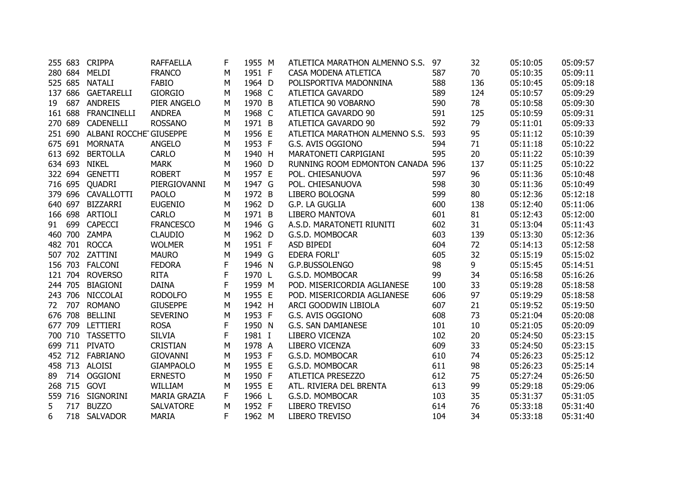|    |         | 255 683 CRIPPA                 | <b>RAFFAELLA</b>    | F | 1955 M | ATLETICA MARATHON ALMENNO S.S.   | 97  | 32  | 05:10:05 | 05:09:57 |
|----|---------|--------------------------------|---------------------|---|--------|----------------------------------|-----|-----|----------|----------|
|    |         | 280 684 MELDI                  | <b>FRANCO</b>       | M | 1951 F | CASA MODENA ATLETICA             | 587 | 70  | 05:10:35 | 05:09:11 |
|    |         | 525 685 NATALI                 | <b>FABIO</b>        | M | 1964 D | POLISPORTIVA MADONNINA           | 588 | 136 | 05:10:45 | 05:09:18 |
|    |         | 137 686 GAETARELLI             | <b>GIORGIO</b>      | M | 1968 C | <b>ATLETICA GAVARDO</b>          | 589 | 124 | 05:10:57 | 05:09:29 |
| 19 | 687     | <b>ANDREIS</b>                 | PIER ANGELO         | M | 1970 B | ATLETICA 90 VOBARNO              | 590 | 78  | 05:10:58 | 05:09:30 |
|    | 161 688 | <b>FRANCINELLI</b>             | <b>ANDREA</b>       | М | 1968 C | ATLETICA GAVARDO 90              | 591 | 125 | 05:10:59 | 05:09:31 |
|    | 270 689 | CADENELLI                      | <b>ROSSANO</b>      | М | 1971 B | ATLETICA GAVARDO 90              | 592 | 79  | 05:11:01 | 05:09:33 |
|    |         | 251 690 ALBANI ROCCHE GIUSEPPE |                     | M | 1956 E | ATLETICA MARATHON ALMENNO S.S.   | 593 | 95  | 05:11:12 | 05:10:39 |
|    |         | 675 691 MORNATA                | <b>ANGELO</b>       | M | 1953 F | G.S. AVIS OGGIONO                | 594 | 71  | 05:11:18 | 05:10:22 |
|    | 613 692 | <b>BERTOLLA</b>                | <b>CARLO</b>        | M | 1940 H | MARATONETI CARPIGIANI            | 595 | 20  | 05:11:22 | 05:10:39 |
|    | 634 693 | <b>NIKEL</b>                   | <b>MARK</b>         | M | 1960 D | RUNNING ROOM EDMONTON CANADA 596 |     | 137 | 05:11:25 | 05:10:22 |
|    |         | 322 694 GENETTI                | <b>ROBERT</b>       | M | 1957 E | POL. CHIESANUOVA                 | 597 | 96  | 05:11:36 | 05:10:48 |
|    |         | 716 695 QUADRI                 | PIERGIOVANNI        | M | 1947 G | POL. CHIESANUOVA                 | 598 | 30  | 05:11:36 | 05:10:49 |
|    |         | 379 696 CAVALLOTTI             | <b>PAOLO</b>        | M | 1972 B | LIBERO BOLOGNA                   | 599 | 80  | 05:12:36 | 05:12:18 |
|    | 640 697 | <b>BIZZARRI</b>                | <b>EUGENIO</b>      | М | 1962 D | G.P. LA GUGLIA                   | 600 | 138 | 05:12:40 | 05:11:06 |
|    |         | 166 698 ARTIOLI                | <b>CARLO</b>        | М | 1971 B | <b>LIBERO MANTOVA</b>            | 601 | 81  | 05:12:43 | 05:12:00 |
| 91 | 699     | <b>CAPECCI</b>                 | <b>FRANCESCO</b>    | М | 1946 G | A.S.D. MARATONETI RIUNITI        | 602 | 31  | 05:13:04 | 05:11:43 |
|    |         | 460 700 ZAMPA                  | <b>CLAUDIO</b>      | М | 1962 D | G.S.D. MOMBOCAR                  | 603 | 139 | 05:13:30 | 05:12:36 |
|    |         | 482 701 ROCCA                  | <b>WOLMER</b>       | M | 1951 F | ASD BIPEDI                       | 604 | 72  | 05:14:13 | 05:12:58 |
|    |         | 507 702 ZATTINI                | <b>MAURO</b>        | M | 1949 G | <b>EDERA FORLI'</b>              | 605 | 32  | 05:15:19 | 05:15:02 |
|    |         | 156 703 FALCONI                | <b>FEDORA</b>       | F | 1946 N | G.P.BUSSOLENGO                   | 98  | 9   | 05:15:45 | 05:14:51 |
|    | 121 704 | <b>ROVERSO</b>                 | <b>RITA</b>         | F | 1970 L | G.S.D. MOMBOCAR                  | 99  | 34  | 05:16:58 | 05:16:26 |
|    | 244 705 | <b>BIAGIONI</b>                | <b>DAINA</b>        | F | 1959 M | POD. MISERICORDIA AGLIANESE      | 100 | 33  | 05:19:28 | 05:18:58 |
|    |         | 243 706 NICCOLAI               | <b>RODOLFO</b>      | M | 1955 E | POD. MISERICORDIA AGLIANESE      | 606 | 97  | 05:19:29 | 05:18:58 |
| 72 | 707     | <b>ROMANO</b>                  | <b>GIUSEPPE</b>     | M | 1942 H | ARCI GOODWIN LIBIOLA             | 607 | 21  | 05:19:52 | 05:19:50 |
|    | 676 708 | <b>BELLINI</b>                 | <b>SEVERINO</b>     | M | 1953 F | G.S. AVIS OGGIONO                | 608 | 73  | 05:21:04 | 05:20:08 |
|    |         | 677 709 LETTIERI               | <b>ROSA</b>         | F | 1950 N | <b>G.S. SAN DAMIANESE</b>        | 101 | 10  | 05:21:05 | 05:20:09 |
|    | 700 710 | <b>TASSETTO</b>                | <b>SILVIA</b>       | F | 1981 I | LIBERO VICENZA                   | 102 | 20  | 05:24:50 | 05:23:15 |
|    |         | 699 711 PIVATO                 | <b>CRISTIAN</b>     | М | 1978 A | LIBERO VICENZA                   | 609 | 33  | 05:24:50 | 05:23:15 |
|    |         | 452 712 FABRIANO               | <b>GIOVANNI</b>     | М | 1953 F | G.S.D. MOMBOCAR                  | 610 | 74  | 05:26:23 | 05:25:12 |
|    |         | 458 713 ALOISI                 | <b>GIAMPAOLO</b>    | М | 1955 E | G.S.D. MOMBOCAR                  | 611 | 98  | 05:26:23 | 05:25:14 |
| 89 |         | 714 OGGIONI                    | <b>ERNESTO</b>      | М | 1950 F | ATLETICA PRESEZZO                | 612 | 75  | 05:27:24 | 05:26:50 |
|    |         | 268 715 GOVI                   | WILLIAM             | M | 1955 E | ATL. RIVIERA DEL BRENTA          | 613 | 99  | 05:29:18 | 05:29:06 |
|    |         | 559 716 SIGNORINI              | <b>MARIA GRAZIA</b> | F | 1966 L | G.S.D. MOMBOCAR                  | 103 | 35  | 05:31:37 | 05:31:05 |
| 5  | 717     | <b>BUZZO</b>                   | <b>SALVATORE</b>    | М | 1952 F | <b>LIBERO TREVISO</b>            | 614 | 76  | 05:33:18 | 05:31:40 |
| 6  |         | 718 SALVADOR                   | <b>MARIA</b>        | F | 1962 M | <b>LIBERO TREVISO</b>            | 104 | 34  | 05:33:18 | 05:31:40 |